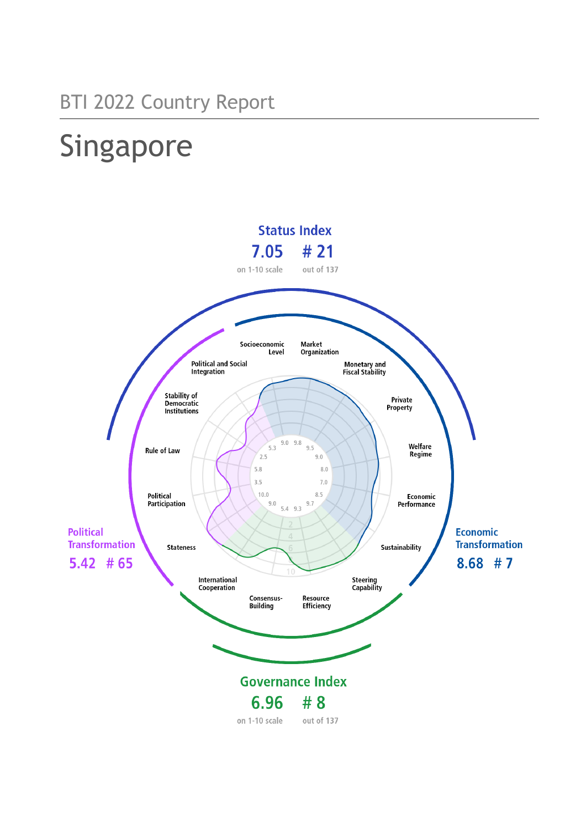# Singapore

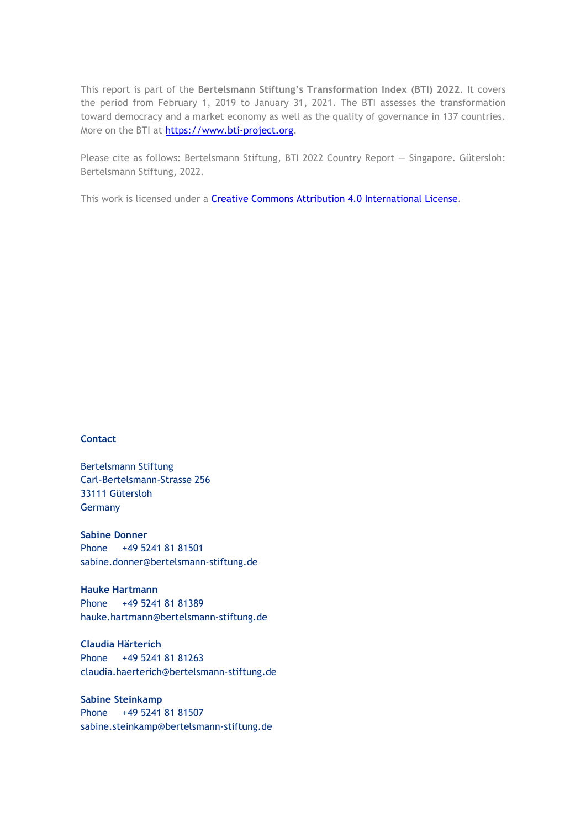This report is part of the **Bertelsmann Stiftung's Transformation Index (BTI) 2022**. It covers the period from February 1, 2019 to January 31, 2021. The BTI assesses the transformation toward democracy and a market economy as well as the quality of governance in 137 countries. More on the BTI at [https://www.bti-project.org.](https://www.bti-project.org/)

Please cite as follows: Bertelsmann Stiftung, BTI 2022 Country Report — Singapore. Gütersloh: Bertelsmann Stiftung, 2022.

This work is licensed under a **Creative Commons Attribution 4.0 International License**.

#### **Contact**

Bertelsmann Stiftung Carl-Bertelsmann-Strasse 256 33111 Gütersloh Germany

**Sabine Donner** Phone +49 5241 81 81501 sabine.donner@bertelsmann-stiftung.de

**Hauke Hartmann** Phone +49 5241 81 81389 hauke.hartmann@bertelsmann-stiftung.de

**Claudia Härterich** Phone +49 5241 81 81263 claudia.haerterich@bertelsmann-stiftung.de

**Sabine Steinkamp** Phone +49 5241 81 81507 sabine.steinkamp@bertelsmann-stiftung.de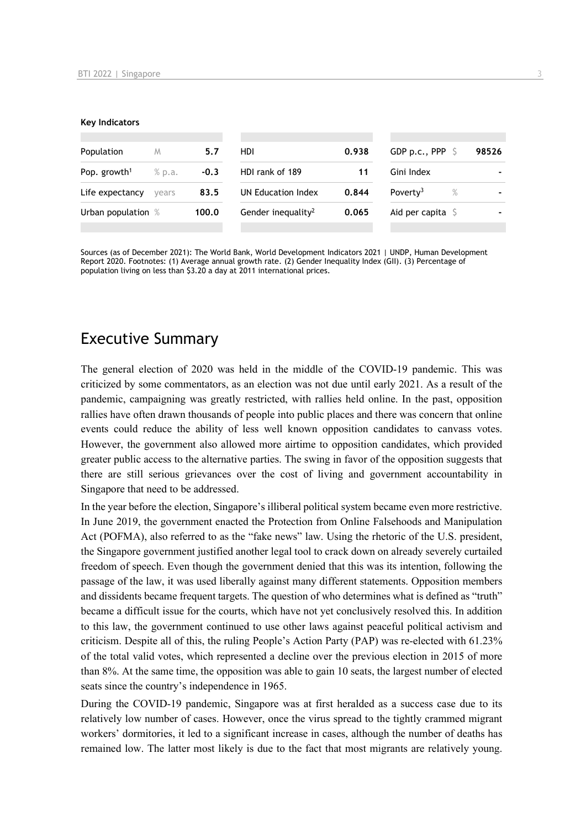#### **Key Indicators**

| Population               | M      | 5.7    | HDI                            | 0.938 | GDP p.c., PPP $\mathsf{S}$   | 98526 |
|--------------------------|--------|--------|--------------------------------|-------|------------------------------|-------|
| Pop. growth <sup>1</sup> | % p.a. | $-0.3$ | HDI rank of 189                | 11    | Gini Index                   |       |
| Life expectancy          | vears  | 83.5   | UN Education Index             | 0.844 | Poverty <sup>3</sup><br>$\%$ |       |
| Urban population %       |        | 100.0  | Gender inequality <sup>2</sup> | 0.065 | Aid per capita $\sqrt{5}$    |       |
|                          |        |        |                                |       |                              |       |

Sources (as of December 2021): The World Bank, World Development Indicators 2021 | UNDP, Human Development Report 2020. Footnotes: (1) Average annual growth rate. (2) Gender Inequality Index (GII). (3) Percentage of population living on less than \$3.20 a day at 2011 international prices.

# Executive Summary

The general election of 2020 was held in the middle of the COVID-19 pandemic. This was criticized by some commentators, as an election was not due until early 2021. As a result of the pandemic, campaigning was greatly restricted, with rallies held online. In the past, opposition rallies have often drawn thousands of people into public places and there was concern that online events could reduce the ability of less well known opposition candidates to canvass votes. However, the government also allowed more airtime to opposition candidates, which provided greater public access to the alternative parties. The swing in favor of the opposition suggests that there are still serious grievances over the cost of living and government accountability in Singapore that need to be addressed.

In the year before the election, Singapore's illiberal political system became even more restrictive. In June 2019, the government enacted the Protection from Online Falsehoods and Manipulation Act (POFMA), also referred to as the "fake news" law. Using the rhetoric of the U.S. president, the Singapore government justified another legal tool to crack down on already severely curtailed freedom of speech. Even though the government denied that this was its intention, following the passage of the law, it was used liberally against many different statements. Opposition members and dissidents became frequent targets. The question of who determines what is defined as "truth" became a difficult issue for the courts, which have not yet conclusively resolved this. In addition to this law, the government continued to use other laws against peaceful political activism and criticism. Despite all of this, the ruling People's Action Party (PAP) was re-elected with 61.23% of the total valid votes, which represented a decline over the previous election in 2015 of more than 8%. At the same time, the opposition was able to gain 10 seats, the largest number of elected seats since the country's independence in 1965.

During the COVID-19 pandemic, Singapore was at first heralded as a success case due to its relatively low number of cases. However, once the virus spread to the tightly crammed migrant workers' dormitories, it led to a significant increase in cases, although the number of deaths has remained low. The latter most likely is due to the fact that most migrants are relatively young.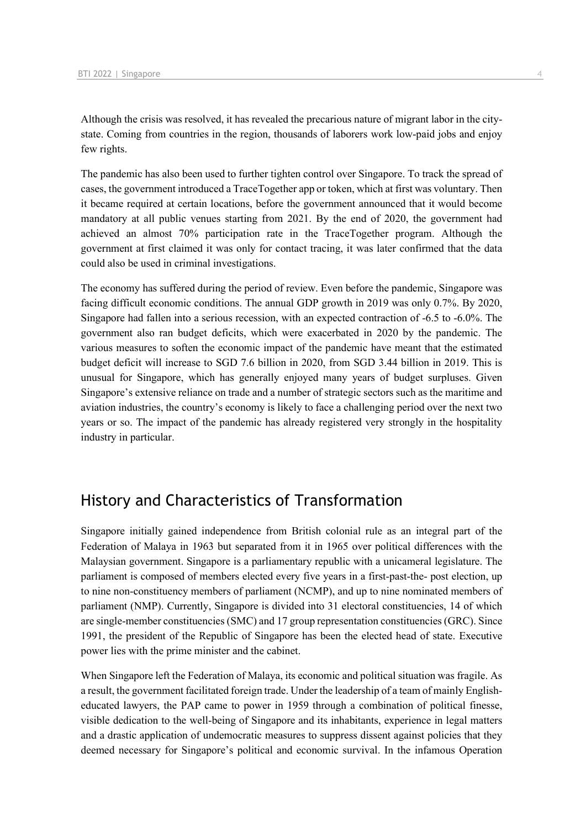Although the crisis was resolved, it has revealed the precarious nature of migrant labor in the citystate. Coming from countries in the region, thousands of laborers work low-paid jobs and enjoy few rights.

The pandemic has also been used to further tighten control over Singapore. To track the spread of cases, the government introduced a TraceTogether app or token, which at first was voluntary. Then it became required at certain locations, before the government announced that it would become mandatory at all public venues starting from 2021. By the end of 2020, the government had achieved an almost 70% participation rate in the TraceTogether program. Although the government at first claimed it was only for contact tracing, it was later confirmed that the data could also be used in criminal investigations.

The economy has suffered during the period of review. Even before the pandemic, Singapore was facing difficult economic conditions. The annual GDP growth in 2019 was only 0.7%. By 2020, Singapore had fallen into a serious recession, with an expected contraction of -6.5 to -6.0%. The government also ran budget deficits, which were exacerbated in 2020 by the pandemic. The various measures to soften the economic impact of the pandemic have meant that the estimated budget deficit will increase to SGD 7.6 billion in 2020, from SGD 3.44 billion in 2019. This is unusual for Singapore, which has generally enjoyed many years of budget surpluses. Given Singapore's extensive reliance on trade and a number of strategic sectors such as the maritime and aviation industries, the country's economy is likely to face a challenging period over the next two years or so. The impact of the pandemic has already registered very strongly in the hospitality industry in particular.

# History and Characteristics of Transformation

Singapore initially gained independence from British colonial rule as an integral part of the Federation of Malaya in 1963 but separated from it in 1965 over political differences with the Malaysian government. Singapore is a parliamentary republic with a unicameral legislature. The parliament is composed of members elected every five years in a first-past-the- post election, up to nine non-constituency members of parliament (NCMP), and up to nine nominated members of parliament (NMP). Currently, Singapore is divided into 31 electoral constituencies, 14 of which are single-member constituencies (SMC) and 17 group representation constituencies (GRC). Since 1991, the president of the Republic of Singapore has been the elected head of state. Executive power lies with the prime minister and the cabinet.

When Singapore left the Federation of Malaya, its economic and political situation was fragile. As a result, the government facilitated foreign trade. Under the leadership of a team of mainly Englisheducated lawyers, the PAP came to power in 1959 through a combination of political finesse, visible dedication to the well-being of Singapore and its inhabitants, experience in legal matters and a drastic application of undemocratic measures to suppress dissent against policies that they deemed necessary for Singapore's political and economic survival. In the infamous Operation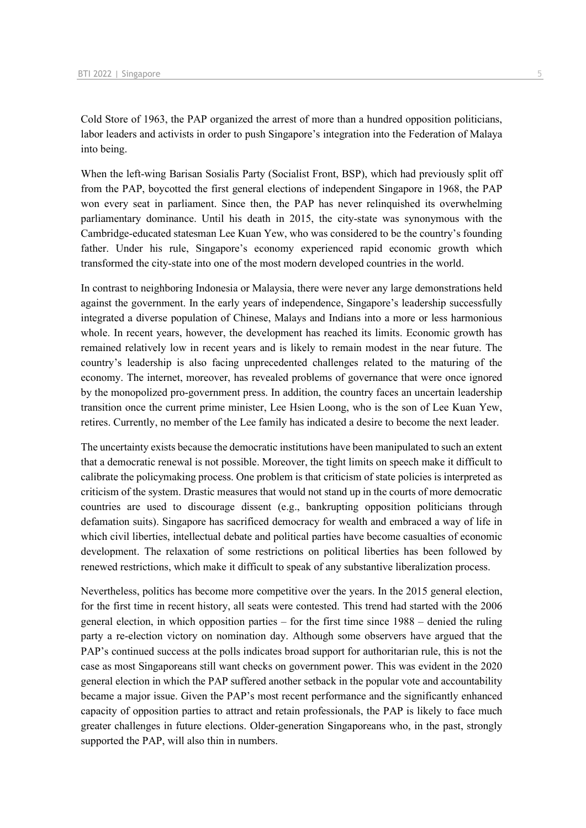Cold Store of 1963, the PAP organized the arrest of more than a hundred opposition politicians, labor leaders and activists in order to push Singapore's integration into the Federation of Malaya into being.

When the left-wing Barisan Sosialis Party (Socialist Front, BSP), which had previously split off from the PAP, boycotted the first general elections of independent Singapore in 1968, the PAP won every seat in parliament. Since then, the PAP has never relinquished its overwhelming parliamentary dominance. Until his death in 2015, the city-state was synonymous with the Cambridge-educated statesman Lee Kuan Yew, who was considered to be the country's founding father. Under his rule, Singapore's economy experienced rapid economic growth which transformed the city-state into one of the most modern developed countries in the world.

In contrast to neighboring Indonesia or Malaysia, there were never any large demonstrations held against the government. In the early years of independence, Singapore's leadership successfully integrated a diverse population of Chinese, Malays and Indians into a more or less harmonious whole. In recent years, however, the development has reached its limits. Economic growth has remained relatively low in recent years and is likely to remain modest in the near future. The country's leadership is also facing unprecedented challenges related to the maturing of the economy. The internet, moreover, has revealed problems of governance that were once ignored by the monopolized pro-government press. In addition, the country faces an uncertain leadership transition once the current prime minister, Lee Hsien Loong, who is the son of Lee Kuan Yew, retires. Currently, no member of the Lee family has indicated a desire to become the next leader.

The uncertainty exists because the democratic institutions have been manipulated to such an extent that a democratic renewal is not possible. Moreover, the tight limits on speech make it difficult to calibrate the policymaking process. One problem is that criticism of state policies is interpreted as criticism of the system. Drastic measures that would not stand up in the courts of more democratic countries are used to discourage dissent (e.g., bankrupting opposition politicians through defamation suits). Singapore has sacrificed democracy for wealth and embraced a way of life in which civil liberties, intellectual debate and political parties have become casualties of economic development. The relaxation of some restrictions on political liberties has been followed by renewed restrictions, which make it difficult to speak of any substantive liberalization process.

Nevertheless, politics has become more competitive over the years. In the 2015 general election, for the first time in recent history, all seats were contested. This trend had started with the 2006 general election, in which opposition parties – for the first time since 1988 – denied the ruling party a re-election victory on nomination day. Although some observers have argued that the PAP's continued success at the polls indicates broad support for authoritarian rule, this is not the case as most Singaporeans still want checks on government power. This was evident in the 2020 general election in which the PAP suffered another setback in the popular vote and accountability became a major issue. Given the PAP's most recent performance and the significantly enhanced capacity of opposition parties to attract and retain professionals, the PAP is likely to face much greater challenges in future elections. Older-generation Singaporeans who, in the past, strongly supported the PAP, will also thin in numbers.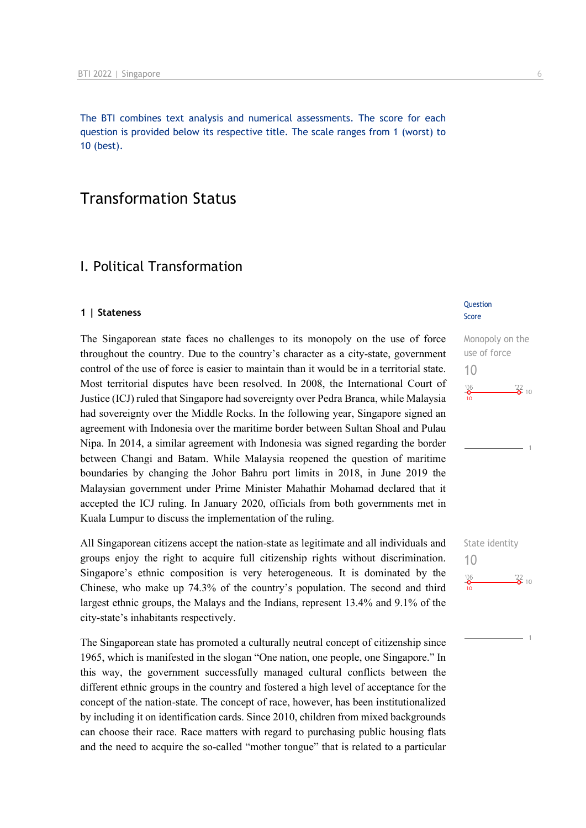The BTI combines text analysis and numerical assessments. The score for each question is provided below its respective title. The scale ranges from 1 (worst) to 10 (best).

# Transformation Status

# I. Political Transformation

#### **1 | Stateness**

The Singaporean state faces no challenges to its monopoly on the use of force throughout the country. Due to the country's character as a city-state, government control of the use of force is easier to maintain than it would be in a territorial state. Most territorial disputes have been resolved. In 2008, the International Court of Justice (ICJ) ruled that Singapore had sovereignty over Pedra Branca, while Malaysia had sovereignty over the Middle Rocks. In the following year, Singapore signed an agreement with Indonesia over the maritime border between Sultan Shoal and Pulau Nipa. In 2014, a similar agreement with Indonesia was signed regarding the border between Changi and Batam. While Malaysia reopened the question of maritime boundaries by changing the Johor Bahru port limits in 2018, in June 2019 the Malaysian government under Prime Minister Mahathir Mohamad declared that it accepted the ICJ ruling. In January 2020, officials from both governments met in Kuala Lumpur to discuss the implementation of the ruling.

All Singaporean citizens accept the nation-state as legitimate and all individuals and groups enjoy the right to acquire full citizenship rights without discrimination. Singapore's ethnic composition is very heterogeneous. It is dominated by the Chinese, who make up 74.3% of the country's population. The second and third largest ethnic groups, the Malays and the Indians, represent 13.4% and 9.1% of the city-state's inhabitants respectively.

The Singaporean state has promoted a culturally neutral concept of citizenship since 1965, which is manifested in the slogan "One nation, one people, one Singapore." In this way, the government successfully managed cultural conflicts between the different ethnic groups in the country and fostered a high level of acceptance for the concept of the nation-state. The concept of race, however, has been institutionalized by including it on identification cards. Since 2010, children from mixed backgrounds can choose their race. Race matters with regard to purchasing public housing flats and the need to acquire the so-called "mother tongue" that is related to a particular

#### **Question** Score

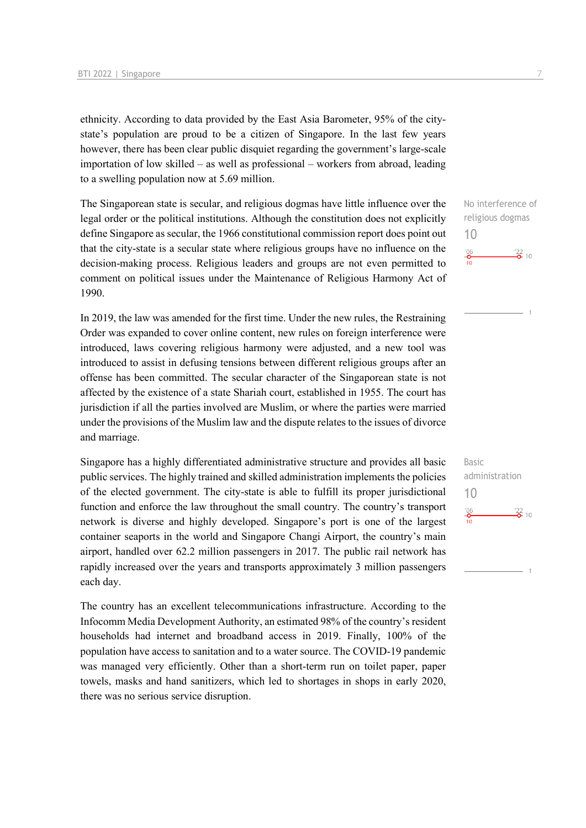ethnicity. According to data provided by the East Asia Barometer, 95% of the citystate's population are proud to be a citizen of Singapore. In the last few years however, there has been clear public disquiet regarding the government's large-scale importation of low skilled – as well as professional – workers from abroad, leading to a swelling population now at 5.69 million.

The Singaporean state is secular, and religious dogmas have little influence over the legal order or the political institutions. Although the constitution does not explicitly define Singapore as secular, the 1966 constitutional commission report does point out that the city-state is a secular state where religious groups have no influence on the decision-making process. Religious leaders and groups are not even permitted to comment on political issues under the Maintenance of Religious Harmony Act of 1990.

In 2019, the law was amended for the first time. Under the new rules, the Restraining Order was expanded to cover online content, new rules on foreign interference were introduced, laws covering religious harmony were adjusted, and a new tool was introduced to assist in defusing tensions between different religious groups after an offense has been committed. The secular character of the Singaporean state is not affected by the existence of a state Shariah court, established in 1955. The court has jurisdiction if all the parties involved are Muslim, or where the parties were married under the provisions of the Muslim law and the dispute relates to the issues of divorce and marriage.

Singapore has a highly differentiated administrative structure and provides all basic public services. The highly trained and skilled administration implements the policies of the elected government. The city-state is able to fulfill its proper jurisdictional function and enforce the law throughout the small country. The country's transport network is diverse and highly developed. Singapore's port is one of the largest container seaports in the world and Singapore Changi Airport, the country's main airport, handled over 62.2 million passengers in 2017. The public rail network has rapidly increased over the years and transports approximately 3 million passengers each day.

The country has an excellent telecommunications infrastructure. According to the Infocomm Media Development Authority, an estimated 98% of the country's resident households had internet and broadband access in 2019. Finally, 100% of the population have access to sanitation and to a water source. The COVID-19 pandemic was managed very efficiently. Other than a short-term run on toilet paper, paper towels, masks and hand sanitizers, which led to shortages in shops in early 2020, there was no serious service disruption.

No interference of religious dogmas 10  $\frac{106}{2}$  $\frac{22}{2}$  10

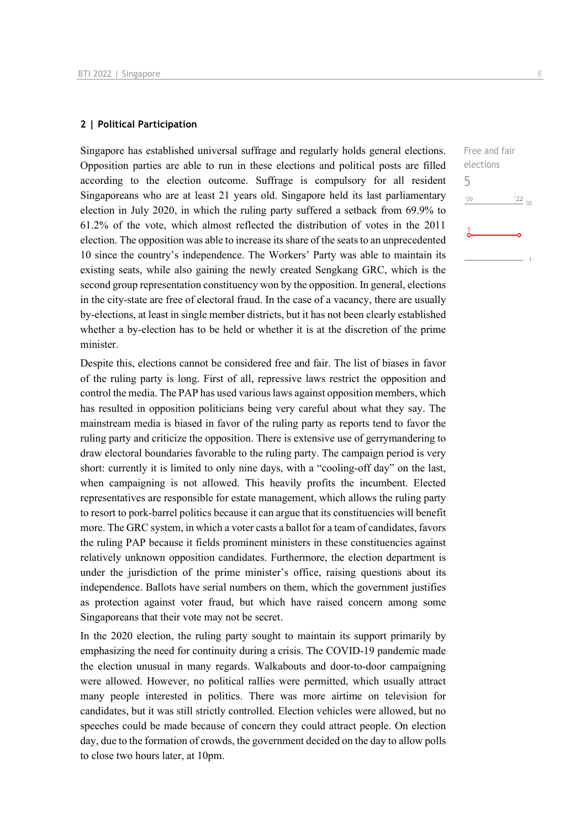#### **2 | Political Participation**

Singapore has established universal suffrage and regularly holds general elections. Opposition parties are able to run in these elections and political posts are filled according to the election outcome. Suffrage is compulsory for all resident Singaporeans who are at least 21 years old. Singapore held its last parliamentary election in July 2020, in which the ruling party suffered a setback from 69.9% to 61.2% of the vote, which almost reflected the distribution of votes in the 2011 election. The opposition was able to increase its share of the seats to an unprecedented 10 since the country's independence. The Workers' Party was able to maintain its existing seats, while also gaining the newly created Sengkang GRC, which is the second group representation constituency won by the opposition. In general, elections in the city-state are free of electoral fraud. In the case of a vacancy, there are usually by-elections, at least in single member districts, but it has not been clearly established whether a by-election has to be held or whether it is at the discretion of the prime minister.

Despite this, elections cannot be considered free and fair. The list of biases in favor of the ruling party is long. First of all, repressive laws restrict the opposition and control the media. The PAP has used various laws against opposition members, which has resulted in opposition politicians being very careful about what they say. The mainstream media is biased in favor of the ruling party as reports tend to favor the ruling party and criticize the opposition. There is extensive use of gerrymandering to draw electoral boundaries favorable to the ruling party. The campaign period is very short: currently it is limited to only nine days, with a "cooling-off day" on the last, when campaigning is not allowed. This heavily profits the incumbent. Elected representatives are responsible for estate management, which allows the ruling party to resort to pork-barrel politics because it can argue that its constituencies will benefit more. The GRC system, in which a voter casts a ballot for a team of candidates, favors the ruling PAP because it fields prominent ministers in these constituencies against relatively unknown opposition candidates. Furthermore, the election department is under the jurisdiction of the prime minister's office, raising questions about its independence. Ballots have serial numbers on them, which the government justifies as protection against voter fraud, but which have raised concern among some Singaporeans that their vote may not be secret.

In the 2020 election, the ruling party sought to maintain its support primarily by emphasizing the need for continuity during a crisis. The COVID-19 pandemic made the election unusual in many regards. Walkabouts and door-to-door campaigning were allowed. However, no political rallies were permitted, which usually attract many people interested in politics. There was more airtime on television for candidates, but it was still strictly controlled. Election vehicles were allowed, but no speeches could be made because of concern they could attract people. On election day, due to the formation of crowds, the government decided on the day to allow polls to close two hours later, at 10pm.

| Free and fair          |  |  |  |  |
|------------------------|--|--|--|--|
| elections              |  |  |  |  |
| 5                      |  |  |  |  |
| '06<br>$\frac{22}{10}$ |  |  |  |  |
| $\frac{5}{2}$          |  |  |  |  |
|                        |  |  |  |  |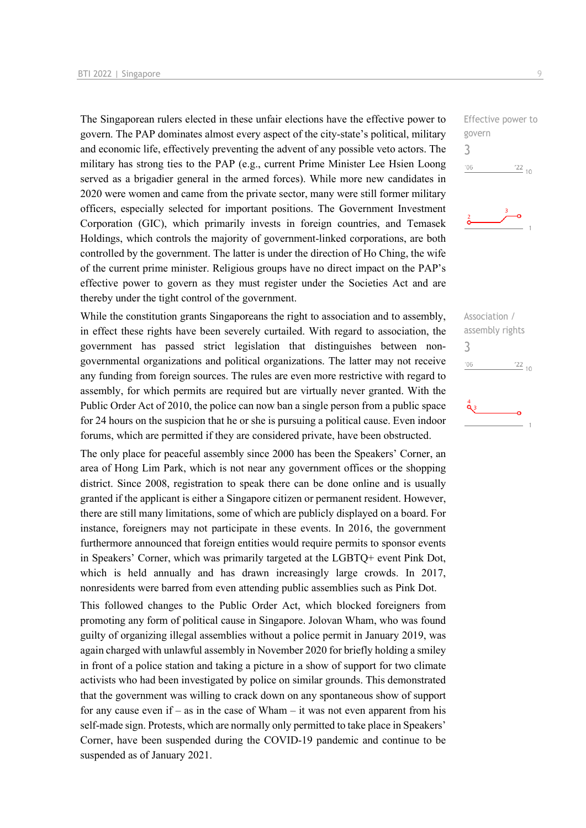The Singaporean rulers elected in these unfair elections have the effective power to govern. The PAP dominates almost every aspect of the city-state's political, military and economic life, effectively preventing the advent of any possible veto actors. The military has strong ties to the PAP (e.g., current Prime Minister Lee Hsien Loong served as a brigadier general in the armed forces). While more new candidates in 2020 were women and came from the private sector, many were still former military officers, especially selected for important positions. The Government Investment Corporation (GIC), which primarily invests in foreign countries, and Temasek Holdings, which controls the majority of government-linked corporations, are both controlled by the government. The latter is under the direction of Ho Ching, the wife of the current prime minister. Religious groups have no direct impact on the PAP's effective power to govern as they must register under the Societies Act and are thereby under the tight control of the government.

While the constitution grants Singaporeans the right to association and to assembly, in effect these rights have been severely curtailed. With regard to association, the government has passed strict legislation that distinguishes between nongovernmental organizations and political organizations. The latter may not receive any funding from foreign sources. The rules are even more restrictive with regard to assembly, for which permits are required but are virtually never granted. With the Public Order Act of 2010, the police can now ban a single person from a public space for 24 hours on the suspicion that he or she is pursuing a political cause. Even indoor forums, which are permitted if they are considered private, have been obstructed.

The only place for peaceful assembly since 2000 has been the Speakers' Corner, an area of Hong Lim Park, which is not near any government offices or the shopping district. Since 2008, registration to speak there can be done online and is usually granted if the applicant is either a Singapore citizen or permanent resident. However, there are still many limitations, some of which are publicly displayed on a board. For instance, foreigners may not participate in these events. In 2016, the government furthermore announced that foreign entities would require permits to sponsor events in Speakers' Corner, which was primarily targeted at the LGBTQ+ event Pink Dot, which is held annually and has drawn increasingly large crowds. In 2017, nonresidents were barred from even attending public assemblies such as Pink Dot.

This followed changes to the Public Order Act, which blocked foreigners from promoting any form of political cause in Singapore. Jolovan Wham, who was found guilty of organizing illegal assemblies without a police permit in January 2019, was again charged with unlawful assembly in November 2020 for briefly holding a smiley in front of a police station and taking a picture in a show of support for two climate activists who had been investigated by police on similar grounds. This demonstrated that the government was willing to crack down on any spontaneous show of support for any cause even if – as in the case of Wham – it was not even apparent from his self-made sign. Protests, which are normally only permitted to take place in Speakers' Corner, have been suspended during the COVID-19 pandemic and continue to be suspended as of January 2021.

Effective power to govern 3  $-06$  $\frac{22}{10}$ 



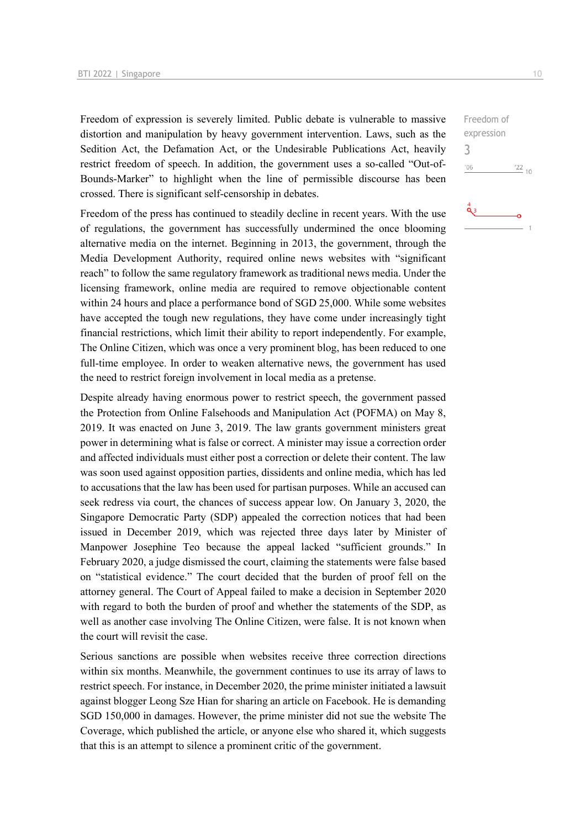Freedom of expression is severely limited. Public debate is vulnerable to massive distortion and manipulation by heavy government intervention. Laws, such as the Sedition Act, the Defamation Act, or the Undesirable Publications Act, heavily restrict freedom of speech. In addition, the government uses a so-called "Out-of-Bounds-Marker" to highlight when the line of permissible discourse has been crossed. There is significant self-censorship in debates.

Freedom of the press has continued to steadily decline in recent years. With the use of regulations, the government has successfully undermined the once blooming alternative media on the internet. Beginning in 2013, the government, through the Media Development Authority, required online news websites with "significant reach" to follow the same regulatory framework as traditional news media. Under the licensing framework, online media are required to remove objectionable content within 24 hours and place a performance bond of SGD 25,000. While some websites have accepted the tough new regulations, they have come under increasingly tight financial restrictions, which limit their ability to report independently. For example, The Online Citizen, which was once a very prominent blog, has been reduced to one full-time employee. In order to weaken alternative news, the government has used the need to restrict foreign involvement in local media as a pretense.

Despite already having enormous power to restrict speech, the government passed the Protection from Online Falsehoods and Manipulation Act (POFMA) on May 8, 2019. It was enacted on June 3, 2019. The law grants government ministers great power in determining what is false or correct. A minister may issue a correction order and affected individuals must either post a correction or delete their content. The law was soon used against opposition parties, dissidents and online media, which has led to accusations that the law has been used for partisan purposes. While an accused can seek redress via court, the chances of success appear low. On January 3, 2020, the Singapore Democratic Party (SDP) appealed the correction notices that had been issued in December 2019, which was rejected three days later by Minister of Manpower Josephine Teo because the appeal lacked "sufficient grounds." In February 2020, a judge dismissed the court, claiming the statements were false based on "statistical evidence." The court decided that the burden of proof fell on the attorney general. The Court of Appeal failed to make a decision in September 2020 with regard to both the burden of proof and whether the statements of the SDP, as well as another case involving The Online Citizen, were false. It is not known when the court will revisit the case.

Serious sanctions are possible when websites receive three correction directions within six months. Meanwhile, the government continues to use its array of laws to restrict speech. For instance, in December 2020, the prime minister initiated a lawsuit against blogger Leong Sze Hian for sharing an article on Facebook. He is demanding SGD 150,000 in damages. However, the prime minister did not sue the website The Coverage, which published the article, or anyone else who shared it, which suggests that this is an attempt to silence a prominent critic of the government.

 $\frac{22}{10}$ 

Freedom of expression

3 $^{\prime}06$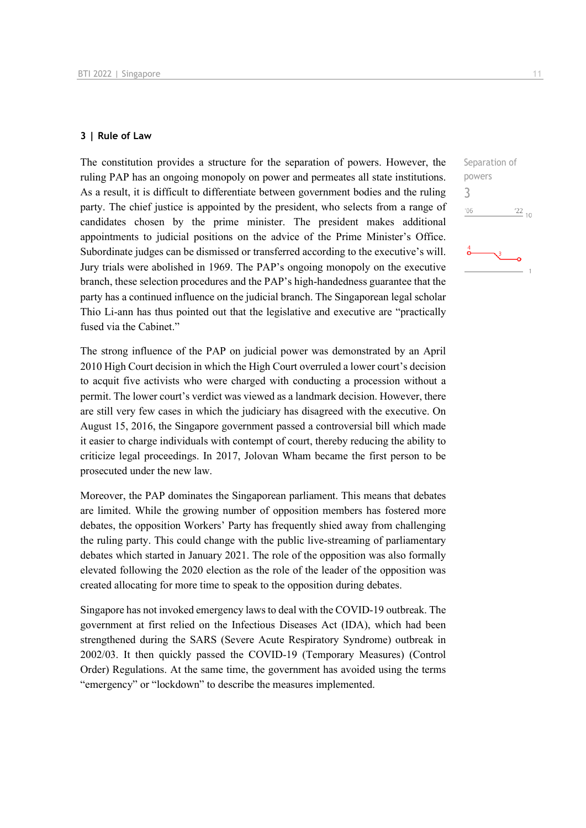#### **3 | Rule of Law**

The constitution provides a structure for the separation of powers. However, the ruling PAP has an ongoing monopoly on power and permeates all state institutions. As a result, it is difficult to differentiate between government bodies and the ruling party. The chief justice is appointed by the president, who selects from a range of candidates chosen by the prime minister. The president makes additional appointments to judicial positions on the advice of the Prime Minister's Office. Subordinate judges can be dismissed or transferred according to the executive's will. Jury trials were abolished in 1969. The PAP's ongoing monopoly on the executive branch, these selection procedures and the PAP's high-handedness guarantee that the party has a continued influence on the judicial branch. The Singaporean legal scholar Thio Li-ann has thus pointed out that the legislative and executive are "practically fused via the Cabinet."

The strong influence of the PAP on judicial power was demonstrated by an April 2010 High Court decision in which the High Court overruled a lower court's decision to acquit five activists who were charged with conducting a procession without a permit. The lower court's verdict was viewed as a landmark decision. However, there are still very few cases in which the judiciary has disagreed with the executive. On August 15, 2016, the Singapore government passed a controversial bill which made it easier to charge individuals with contempt of court, thereby reducing the ability to criticize legal proceedings. In 2017, Jolovan Wham became the first person to be prosecuted under the new law.

Moreover, the PAP dominates the Singaporean parliament. This means that debates are limited. While the growing number of opposition members has fostered more debates, the opposition Workers' Party has frequently shied away from challenging the ruling party. This could change with the public live-streaming of parliamentary debates which started in January 2021. The role of the opposition was also formally elevated following the 2020 election as the role of the leader of the opposition was created allocating for more time to speak to the opposition during debates.

Singapore has not invoked emergency laws to deal with the COVID-19 outbreak. The government at first relied on the Infectious Diseases Act (IDA), which had been strengthened during the SARS (Severe Acute Respiratory Syndrome) outbreak in 2002/03. It then quickly passed the COVID-19 (Temporary Measures) (Control Order) Regulations. At the same time, the government has avoided using the terms "emergency" or "lockdown" to describe the measures implemented.

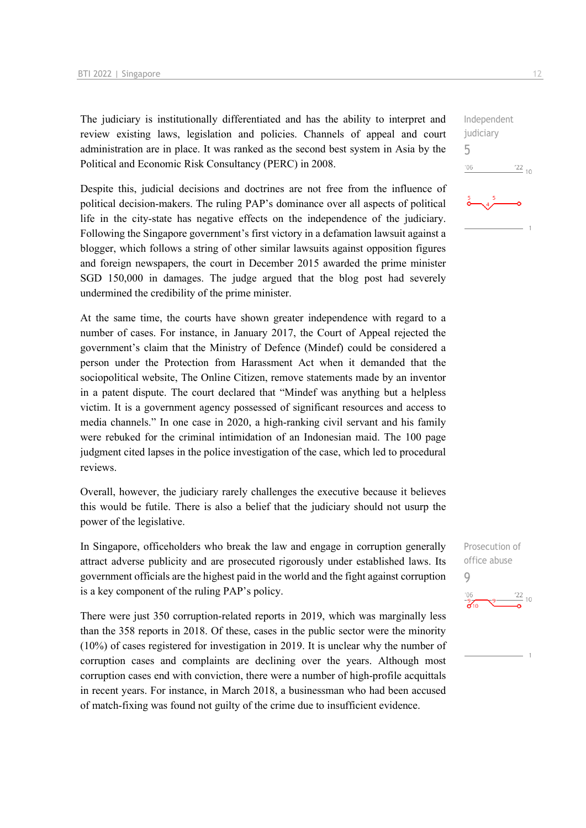The judiciary is institutionally differentiated and has the ability to interpret and review existing laws, legislation and policies. Channels of appeal and court administration are in place. It was ranked as the second best system in Asia by the Political and Economic Risk Consultancy (PERC) in 2008.

Despite this, judicial decisions and doctrines are not free from the influence of political decision-makers. The ruling PAP's dominance over all aspects of political life in the city-state has negative effects on the independence of the judiciary. Following the Singapore government's first victory in a defamation lawsuit against a blogger, which follows a string of other similar lawsuits against opposition figures and foreign newspapers, the court in December 2015 awarded the prime minister SGD 150,000 in damages. The judge argued that the blog post had severely undermined the credibility of the prime minister.

At the same time, the courts have shown greater independence with regard to a number of cases. For instance, in January 2017, the Court of Appeal rejected the government's claim that the Ministry of Defence (Mindef) could be considered a person under the Protection from Harassment Act when it demanded that the sociopolitical website, The Online Citizen, remove statements made by an inventor in a patent dispute. The court declared that "Mindef was anything but a helpless victim. It is a government agency possessed of significant resources and access to media channels." In one case in 2020, a high-ranking civil servant and his family were rebuked for the criminal intimidation of an Indonesian maid. The 100 page judgment cited lapses in the police investigation of the case, which led to procedural reviews.

Overall, however, the judiciary rarely challenges the executive because it believes this would be futile. There is also a belief that the judiciary should not usurp the power of the legislative.

In Singapore, officeholders who break the law and engage in corruption generally attract adverse publicity and are prosecuted rigorously under established laws. Its government officials are the highest paid in the world and the fight against corruption is a key component of the ruling PAP's policy.

There were just 350 corruption-related reports in 2019, which was marginally less than the 358 reports in 2018. Of these, cases in the public sector were the minority (10%) of cases registered for investigation in 2019. It is unclear why the number of corruption cases and complaints are declining over the years. Although most corruption cases end with conviction, there were a number of high-profile acquittals in recent years. For instance, in March 2018, a businessman who had been accused of match-fixing was found not guilty of the crime due to insufficient evidence.

Prosecution of office abuse 9



 $\frac{22}{10}$ 

Independent judiciary

5

 $-06$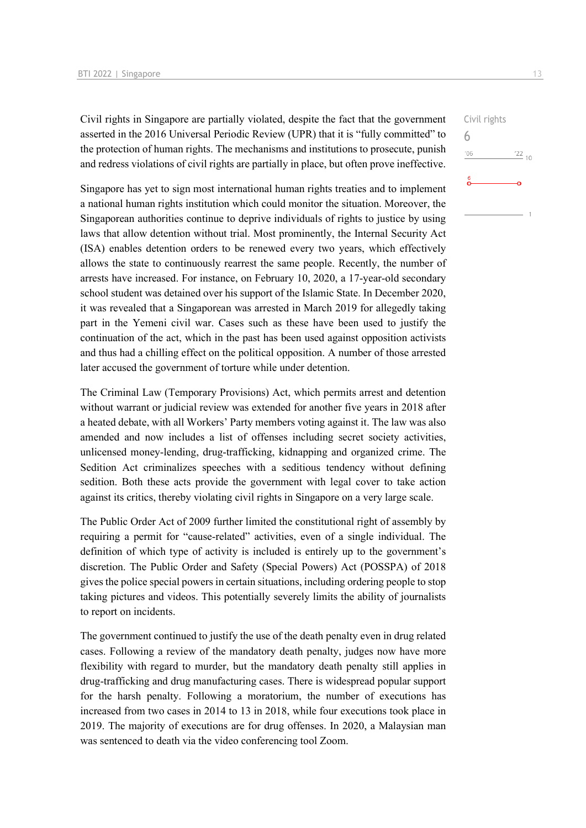Civil rights in Singapore are partially violated, despite the fact that the government asserted in the 2016 Universal Periodic Review (UPR) that it is "fully committed" to the protection of human rights. The mechanisms and institutions to prosecute, punish and redress violations of civil rights are partially in place, but often prove ineffective.

Singapore has yet to sign most international human rights treaties and to implement a national human rights institution which could monitor the situation. Moreover, the Singaporean authorities continue to deprive individuals of rights to justice by using laws that allow detention without trial. Most prominently, the Internal Security Act (ISA) enables detention orders to be renewed every two years, which effectively allows the state to continuously rearrest the same people. Recently, the number of arrests have increased. For instance, on February 10, 2020, a 17-year-old secondary school student was detained over his support of the Islamic State. In December 2020, it was revealed that a Singaporean was arrested in March 2019 for allegedly taking part in the Yemeni civil war. Cases such as these have been used to justify the continuation of the act, which in the past has been used against opposition activists and thus had a chilling effect on the political opposition. A number of those arrested later accused the government of torture while under detention.

The Criminal Law (Temporary Provisions) Act, which permits arrest and detention without warrant or judicial review was extended for another five years in 2018 after a heated debate, with all Workers' Party members voting against it. The law was also amended and now includes a list of offenses including secret society activities, unlicensed money-lending, drug-trafficking, kidnapping and organized crime. The Sedition Act criminalizes speeches with a seditious tendency without defining sedition. Both these acts provide the government with legal cover to take action against its critics, thereby violating civil rights in Singapore on a very large scale.

The Public Order Act of 2009 further limited the constitutional right of assembly by requiring a permit for "cause-related" activities, even of a single individual. The definition of which type of activity is included is entirely up to the government's discretion. The Public Order and Safety (Special Powers) Act (POSSPA) of 2018 gives the police special powers in certain situations, including ordering people to stop taking pictures and videos. This potentially severely limits the ability of journalists to report on incidents.

The government continued to justify the use of the death penalty even in drug related cases. Following a review of the mandatory death penalty, judges now have more flexibility with regard to murder, but the mandatory death penalty still applies in drug-trafficking and drug manufacturing cases. There is widespread popular support for the harsh penalty. Following a moratorium, the number of executions has increased from two cases in 2014 to 13 in 2018, while four executions took place in 2019. The majority of executions are for drug offenses. In 2020, a Malaysian man was sentenced to death via the video conferencing tool Zoom.

 $\frac{22}{10}$ 

Civil rights

6

 $106$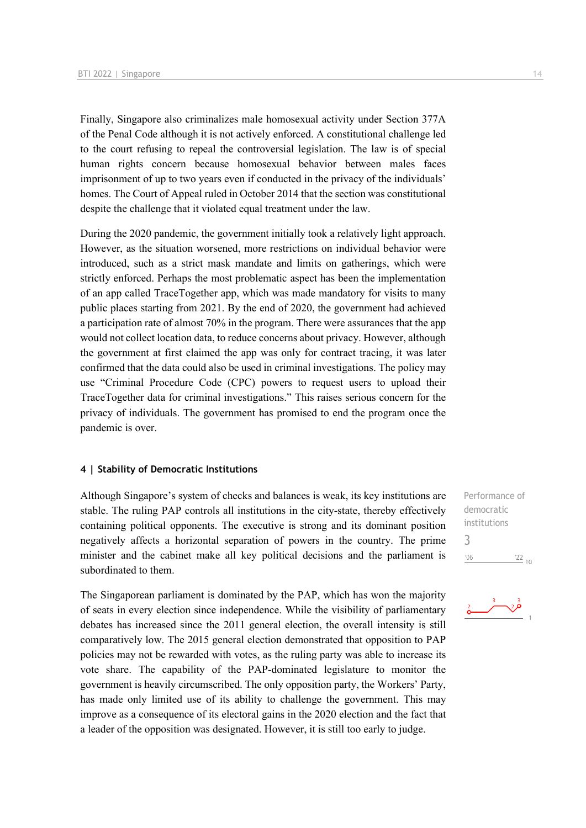Finally, Singapore also criminalizes male homosexual activity under Section 377A of the Penal Code although it is not actively enforced. A constitutional challenge led to the court refusing to repeal the controversial legislation. The law is of special human rights concern because homosexual behavior between males faces imprisonment of up to two years even if conducted in the privacy of the individuals' homes. The Court of Appeal ruled in October 2014 that the section was constitutional despite the challenge that it violated equal treatment under the law.

During the 2020 pandemic, the government initially took a relatively light approach. However, as the situation worsened, more restrictions on individual behavior were introduced, such as a strict mask mandate and limits on gatherings, which were strictly enforced. Perhaps the most problematic aspect has been the implementation of an app called TraceTogether app, which was made mandatory for visits to many public places starting from 2021. By the end of 2020, the government had achieved a participation rate of almost 70% in the program. There were assurances that the app would not collect location data, to reduce concerns about privacy. However, although the government at first claimed the app was only for contract tracing, it was later confirmed that the data could also be used in criminal investigations. The policy may use "Criminal Procedure Code (CPC) powers to request users to upload their TraceTogether data for criminal investigations." This raises serious concern for the privacy of individuals. The government has promised to end the program once the pandemic is over.

#### **4 | Stability of Democratic Institutions**

Although Singapore's system of checks and balances is weak, its key institutions are stable. The ruling PAP controls all institutions in the city-state, thereby effectively containing political opponents. The executive is strong and its dominant position negatively affects a horizontal separation of powers in the country. The prime minister and the cabinet make all key political decisions and the parliament is subordinated to them.

The Singaporean parliament is dominated by the PAP, which has won the majority of seats in every election since independence. While the visibility of parliamentary debates has increased since the 2011 general election, the overall intensity is still comparatively low. The 2015 general election demonstrated that opposition to PAP policies may not be rewarded with votes, as the ruling party was able to increase its vote share. The capability of the PAP-dominated legislature to monitor the government is heavily circumscribed. The only opposition party, the Workers' Party, has made only limited use of its ability to challenge the government. This may improve as a consequence of its electoral gains in the 2020 election and the fact that a leader of the opposition was designated. However, it is still too early to judge.

Performance of democratic institutions 3 $\frac{22}{10}$  $06'$ 

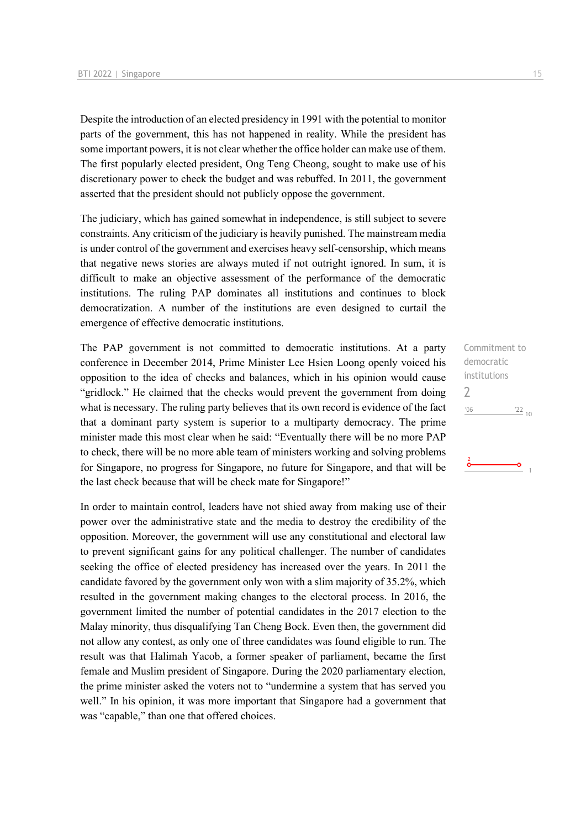Despite the introduction of an elected presidency in 1991 with the potential to monitor parts of the government, this has not happened in reality. While the president has some important powers, it is not clear whether the office holder can make use of them. The first popularly elected president, Ong Teng Cheong, sought to make use of his discretionary power to check the budget and was rebuffed. In 2011, the government asserted that the president should not publicly oppose the government.

The judiciary, which has gained somewhat in independence, is still subject to severe constraints. Any criticism of the judiciary is heavily punished. The mainstream media is under control of the government and exercises heavy self-censorship, which means that negative news stories are always muted if not outright ignored. In sum, it is difficult to make an objective assessment of the performance of the democratic institutions. The ruling PAP dominates all institutions and continues to block democratization. A number of the institutions are even designed to curtail the emergence of effective democratic institutions.

The PAP government is not committed to democratic institutions. At a party conference in December 2014, Prime Minister Lee Hsien Loong openly voiced his opposition to the idea of checks and balances, which in his opinion would cause "gridlock." He claimed that the checks would prevent the government from doing what is necessary. The ruling party believes that its own record is evidence of the fact that a dominant party system is superior to a multiparty democracy. The prime minister made this most clear when he said: "Eventually there will be no more PAP to check, there will be no more able team of ministers working and solving problems for Singapore, no progress for Singapore, no future for Singapore, and that will be the last check because that will be check mate for Singapore!"

In order to maintain control, leaders have not shied away from making use of their power over the administrative state and the media to destroy the credibility of the opposition. Moreover, the government will use any constitutional and electoral law to prevent significant gains for any political challenger. The number of candidates seeking the office of elected presidency has increased over the years. In 2011 the candidate favored by the government only won with a slim majority of 35.2%, which resulted in the government making changes to the electoral process. In 2016, the government limited the number of potential candidates in the 2017 election to the Malay minority, thus disqualifying Tan Cheng Bock. Even then, the government did not allow any contest, as only one of three candidates was found eligible to run. The result was that Halimah Yacob, a former speaker of parliament, became the first female and Muslim president of Singapore. During the 2020 parliamentary election, the prime minister asked the voters not to "undermine a system that has served you well." In his opinion, it was more important that Singapore had a government that was "capable," than one that offered choices.

Commitment to democratic institutions  $\overline{\phantom{0}}$  $\frac{22}{10}$  $'06$ 

۰o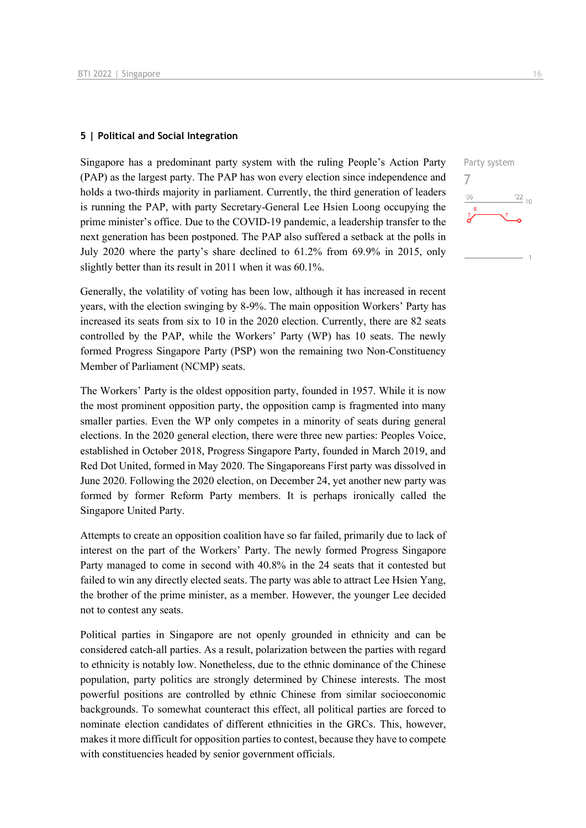#### **5 | Political and Social Integration**

Singapore has a predominant party system with the ruling People's Action Party (PAP) as the largest party. The PAP has won every election since independence and holds a two-thirds majority in parliament. Currently, the third generation of leaders is running the PAP, with party Secretary-General Lee Hsien Loong occupying the prime minister's office. Due to the COVID-19 pandemic, a leadership transfer to the next generation has been postponed. The PAP also suffered a setback at the polls in July 2020 where the party's share declined to 61.2% from 69.9% in 2015, only slightly better than its result in 2011 when it was 60.1%.

Generally, the volatility of voting has been low, although it has increased in recent years, with the election swinging by 8-9%. The main opposition Workers' Party has increased its seats from six to 10 in the 2020 election. Currently, there are 82 seats controlled by the PAP, while the Workers' Party (WP) has 10 seats. The newly formed Progress Singapore Party (PSP) won the remaining two Non-Constituency Member of Parliament (NCMP) seats.

The Workers' Party is the oldest opposition party, founded in 1957. While it is now the most prominent opposition party, the opposition camp is fragmented into many smaller parties. Even the WP only competes in a minority of seats during general elections. In the 2020 general election, there were three new parties: Peoples Voice, established in October 2018, Progress Singapore Party, founded in March 2019, and Red Dot United, formed in May 2020. The Singaporeans First party was dissolved in June 2020. Following the 2020 election, on December 24, yet another new party was formed by former Reform Party members. It is perhaps ironically called the Singapore United Party.

Attempts to create an opposition coalition have so far failed, primarily due to lack of interest on the part of the Workers' Party. The newly formed Progress Singapore Party managed to come in second with 40.8% in the 24 seats that it contested but failed to win any directly elected seats. The party was able to attract Lee Hsien Yang, the brother of the prime minister, as a member. However, the younger Lee decided not to contest any seats.

Political parties in Singapore are not openly grounded in ethnicity and can be considered catch-all parties. As a result, polarization between the parties with regard to ethnicity is notably low. Nonetheless, due to the ethnic dominance of the Chinese population, party politics are strongly determined by Chinese interests. The most powerful positions are controlled by ethnic Chinese from similar socioeconomic backgrounds. To somewhat counteract this effect, all political parties are forced to nominate election candidates of different ethnicities in the GRCs. This, however, makes it more difficult for opposition parties to contest, because they have to compete with constituencies headed by senior government officials.

7

 $-06$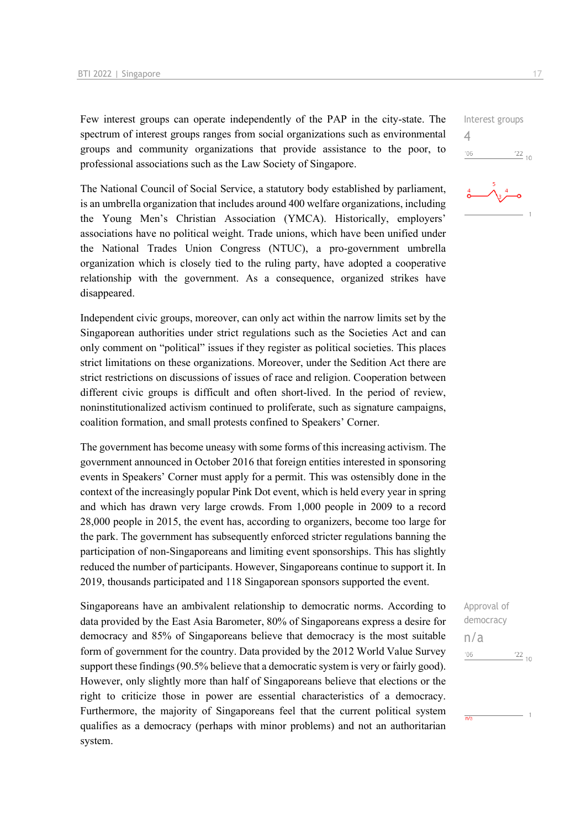Few interest groups can operate independently of the PAP in the city-state. The spectrum of interest groups ranges from social organizations such as environmental groups and community organizations that provide assistance to the poor, to professional associations such as the Law Society of Singapore.

The National Council of Social Service, a statutory body established by parliament, is an umbrella organization that includes around 400 welfare organizations, including the Young Men's Christian Association (YMCA). Historically, employers' associations have no political weight. Trade unions, which have been unified under the National Trades Union Congress (NTUC), a pro-government umbrella organization which is closely tied to the ruling party, have adopted a cooperative relationship with the government. As a consequence, organized strikes have disappeared.

Independent civic groups, moreover, can only act within the narrow limits set by the Singaporean authorities under strict regulations such as the Societies Act and can only comment on "political" issues if they register as political societies. This places strict limitations on these organizations. Moreover, under the Sedition Act there are strict restrictions on discussions of issues of race and religion. Cooperation between different civic groups is difficult and often short-lived. In the period of review, noninstitutionalized activism continued to proliferate, such as signature campaigns, coalition formation, and small protests confined to Speakers' Corner.

The government has become uneasy with some forms of this increasing activism. The government announced in October 2016 that foreign entities interested in sponsoring events in Speakers' Corner must apply for a permit. This was ostensibly done in the context of the increasingly popular Pink Dot event, which is held every year in spring and which has drawn very large crowds. From 1,000 people in 2009 to a record 28,000 people in 2015, the event has, according to organizers, become too large for the park. The government has subsequently enforced stricter regulations banning the participation of non-Singaporeans and limiting event sponsorships. This has slightly reduced the number of participants. However, Singaporeans continue to support it. In 2019, thousands participated and 118 Singaporean sponsors supported the event.

Singaporeans have an ambivalent relationship to democratic norms. According to data provided by the East Asia Barometer, 80% of Singaporeans express a desire for democracy and 85% of Singaporeans believe that democracy is the most suitable form of government for the country. Data provided by the 2012 World Value Survey support these findings (90.5% believe that a democratic system is very or fairly good). However, only slightly more than half of Singaporeans believe that elections or the right to criticize those in power are essential characteristics of a democracy. Furthermore, the majority of Singaporeans feel that the current political system qualifies as a democracy (perhaps with minor problems) and not an authoritarian system.

Interest groups 4  $'06$  $\frac{22}{10}$ 



Approval of democracy n/a $'06$  $\frac{22}{10}$ 

 $\overline{n/a}$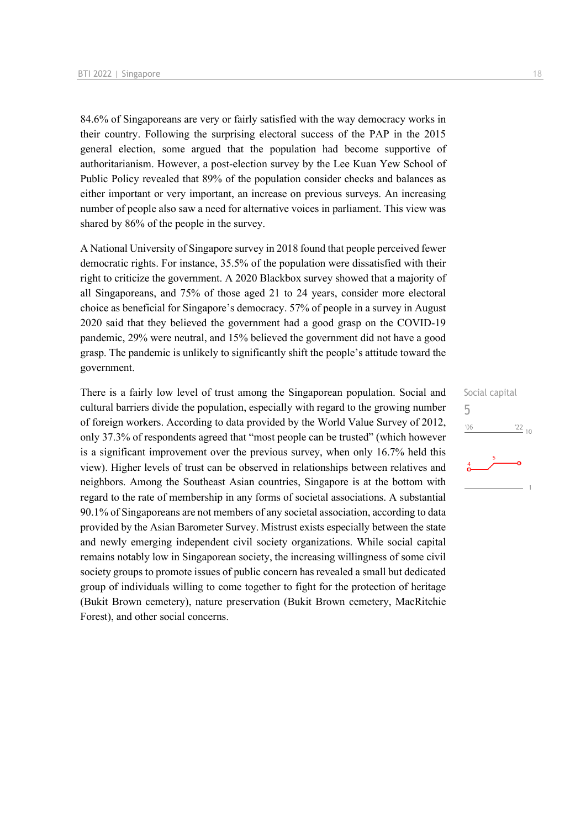84.6% of Singaporeans are very or fairly satisfied with the way democracy works in their country. Following the surprising electoral success of the PAP in the 2015 general election, some argued that the population had become supportive of authoritarianism. However, a post-election survey by the Lee Kuan Yew School of Public Policy revealed that 89% of the population consider checks and balances as either important or very important, an increase on previous surveys. An increasing number of people also saw a need for alternative voices in parliament. This view was shared by 86% of the people in the survey.

A National University of Singapore survey in 2018 found that people perceived fewer democratic rights. For instance, 35.5% of the population were dissatisfied with their right to criticize the government. A 2020 Blackbox survey showed that a majority of all Singaporeans, and 75% of those aged 21 to 24 years, consider more electoral choice as beneficial for Singapore's democracy. 57% of people in a survey in August 2020 said that they believed the government had a good grasp on the COVID-19 pandemic, 29% were neutral, and 15% believed the government did not have a good grasp. The pandemic is unlikely to significantly shift the people's attitude toward the government.

There is a fairly low level of trust among the Singaporean population. Social and cultural barriers divide the population, especially with regard to the growing number of foreign workers. According to data provided by the World Value Survey of 2012, only 37.3% of respondents agreed that "most people can be trusted" (which however is a significant improvement over the previous survey, when only 16.7% held this view). Higher levels of trust can be observed in relationships between relatives and neighbors. Among the Southeast Asian countries, Singapore is at the bottom with regard to the rate of membership in any forms of societal associations. A substantial 90.1% of Singaporeans are not members of any societal association, according to data provided by the Asian Barometer Survey. Mistrust exists especially between the state and newly emerging independent civil society organizations. While social capital remains notably low in Singaporean society, the increasing willingness of some civil society groups to promote issues of public concern has revealed a small but dedicated group of individuals willing to come together to fight for the protection of heritage (Bukit Brown cemetery), nature preservation (Bukit Brown cemetery, MacRitchie Forest), and other social concerns.

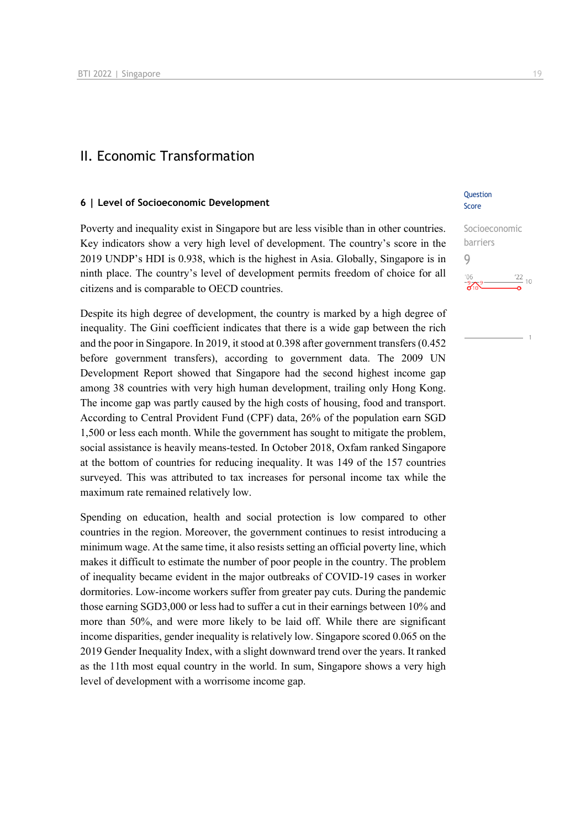## II. Economic Transformation

#### **6 | Level of Socioeconomic Development**

Poverty and inequality exist in Singapore but are less visible than in other countries. Key indicators show a very high level of development. The country's score in the 2019 UNDP's HDI is 0.938, which is the highest in Asia. Globally, Singapore is in ninth place. The country's level of development permits freedom of choice for all citizens and is comparable to OECD countries.

Despite its high degree of development, the country is marked by a high degree of inequality. The Gini coefficient indicates that there is a wide gap between the rich and the poor in Singapore. In 2019, it stood at 0.398 after government transfers (0.452 before government transfers), according to government data. The 2009 UN Development Report showed that Singapore had the second highest income gap among 38 countries with very high human development, trailing only Hong Kong. The income gap was partly caused by the high costs of housing, food and transport. According to Central Provident Fund (CPF) data, 26% of the population earn SGD 1,500 or less each month. While the government has sought to mitigate the problem, social assistance is heavily means-tested. In October 2018, Oxfam ranked Singapore at the bottom of countries for reducing inequality. It was 149 of the 157 countries surveyed. This was attributed to tax increases for personal income tax while the maximum rate remained relatively low.

Spending on education, health and social protection is low compared to other countries in the region. Moreover, the government continues to resist introducing a minimum wage. At the same time, it also resists setting an official poverty line, which makes it difficult to estimate the number of poor people in the country. The problem of inequality became evident in the major outbreaks of COVID-19 cases in worker dormitories. Low-income workers suffer from greater pay cuts. During the pandemic those earning SGD3,000 or less had to suffer a cut in their earnings between 10% and more than 50%, and were more likely to be laid off. While there are significant income disparities, gender inequality is relatively low. Singapore scored 0.065 on the 2019 Gender Inequality Index, with a slight downward trend over the years. It ranked as the 11th most equal country in the world. In sum, Singapore shows a very high level of development with a worrisome income gap.

#### **Question** Score

Socioeconomic barriers 9 $\frac{22}{2}$  10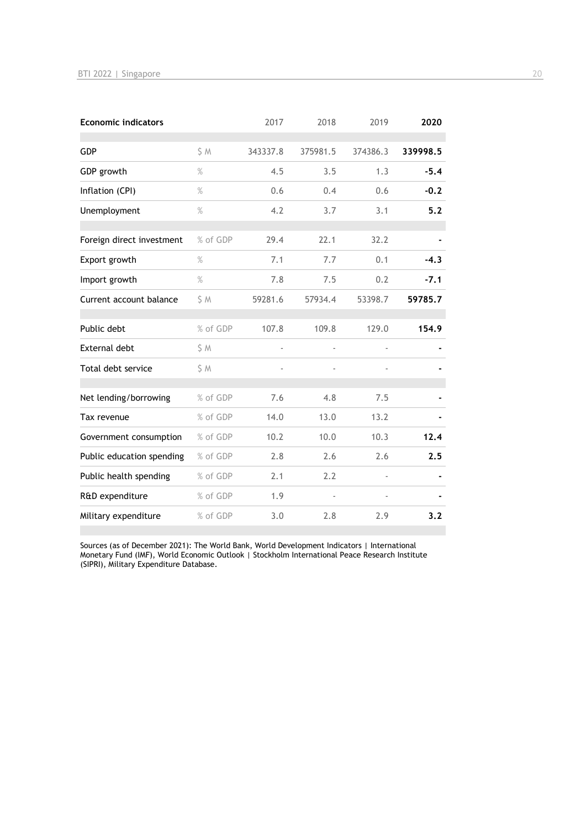| <b>Economic indicators</b> |               | 2017     | 2018     | 2019          | 2020     |
|----------------------------|---------------|----------|----------|---------------|----------|
| <b>GDP</b>                 | S M           | 343337.8 | 375981.5 | 374386.3      | 339998.5 |
| GDP growth                 | $\%$          | 4.5      | 3.5      | 1.3           | $-5.4$   |
| Inflation (CPI)            | $\%$          | 0.6      | 0.4      | 0.6           | $-0.2$   |
| Unemployment               | $\frac{9}{6}$ | 4.2      | 3.7      | 3.1           | 5.2      |
| Foreign direct investment  | % of GDP      | 29.4     | 22.1     | 32.2          |          |
| Export growth              | $\%$          | 7.1      | 7.7      | 0.1           | $-4.3$   |
| Import growth              | $\%$          | 7.8      | 7.5      | 0.2           | $-7.1$   |
| Current account balance    | \$ M          | 59281.6  | 57934.4  | 53398.7       | 59785.7  |
| Public debt                | % of GDP      | 107.8    | 109.8    | 129.0         | 154.9    |
| <b>External debt</b>       | \$ M          | ÷,       |          | $\frac{1}{2}$ |          |
| Total debt service         | \$ M          |          |          |               |          |
| Net lending/borrowing      | % of GDP      | 7.6      | 4.8      | 7.5           |          |
| Tax revenue                | % of GDP      | 14.0     | 13.0     | 13.2          |          |
| Government consumption     | % of GDP      | 10.2     | 10.0     | 10.3          | 12.4     |
| Public education spending  | % of GDP      | 2.8      | 2.6      | 2.6           | 2.5      |
| Public health spending     | % of GDP      | 2.1      | 2.2      |               |          |
| R&D expenditure            | % of GDP      | 1.9      |          |               |          |
| Military expenditure       | % of GDP      | 3.0      | 2.8      | 2.9           | 3.2      |

Sources (as of December 2021): The World Bank, World Development Indicators | International Monetary Fund (IMF), World Economic Outlook | Stockholm International Peace Research Institute (SIPRI), Military Expenditure Database.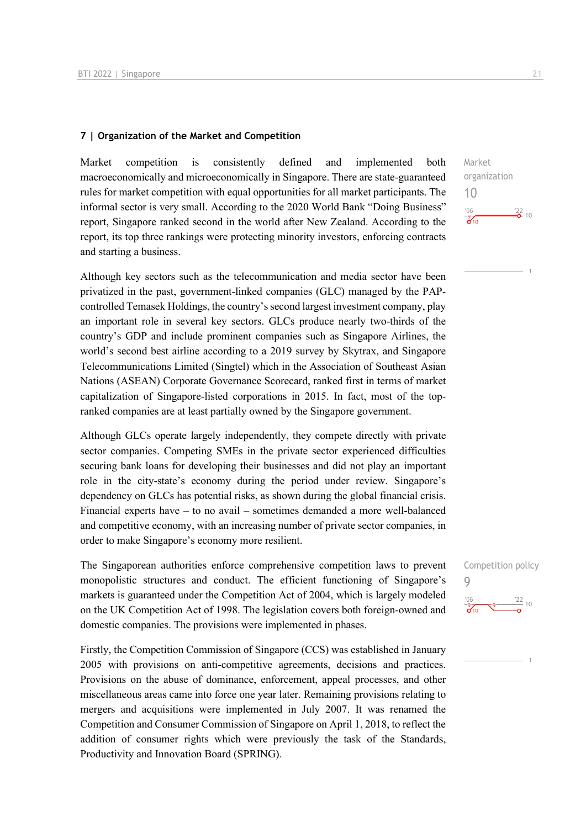#### **7 | Organization of the Market and Competition**

Market competition is consistently defined and implemented both macroeconomically and microeconomically in Singapore. There are state-guaranteed rules for market competition with equal opportunities for all market participants. The informal sector is very small. According to the 2020 World Bank "Doing Business" report, Singapore ranked second in the world after New Zealand. According to the report, its top three rankings were protecting minority investors, enforcing contracts and starting a business.

Although key sectors such as the telecommunication and media sector have been privatized in the past, government-linked companies (GLC) managed by the PAPcontrolled Temasek Holdings, the country's second largest investment company, play an important role in several key sectors. GLCs produce nearly two-thirds of the country's GDP and include prominent companies such as Singapore Airlines, the world's second best airline according to a 2019 survey by Skytrax, and Singapore Telecommunications Limited (Singtel) which in the Association of Southeast Asian Nations (ASEAN) Corporate Governance Scorecard, ranked first in terms of market capitalization of Singapore-listed corporations in 2015. In fact, most of the topranked companies are at least partially owned by the Singapore government.

Although GLCs operate largely independently, they compete directly with private sector companies. Competing SMEs in the private sector experienced difficulties securing bank loans for developing their businesses and did not play an important role in the city-state's economy during the period under review. Singapore's dependency on GLCs has potential risks, as shown during the global financial crisis. Financial experts have – to no avail – sometimes demanded a more well-balanced and competitive economy, with an increasing number of private sector companies, in order to make Singapore's economy more resilient.

The Singaporean authorities enforce comprehensive competition laws to prevent monopolistic structures and conduct. The efficient functioning of Singapore's markets is guaranteed under the Competition Act of 2004, which is largely modeled on the UK Competition Act of 1998. The legislation covers both foreign-owned and domestic companies. The provisions were implemented in phases.

Firstly, the Competition Commission of Singapore (CCS) was established in January 2005 with provisions on anti-competitive agreements, decisions and practices. Provisions on the abuse of dominance, enforcement, appeal processes, and other miscellaneous areas came into force one year later. Remaining provisions relating to mergers and acquisitions were implemented in July 2007. It was renamed the Competition and Consumer Commission of Singapore on April 1, 2018, to reflect the addition of consumer rights which were previously the task of the Standards, Productivity and Innovation Board (SPRING).

Market organization 10  $^{\prime}06$  $\frac{22}{2}$  10  $\frac{1}{2}$ 

Competition policy  $\overline{Q}$  $\frac{22}{10}$  10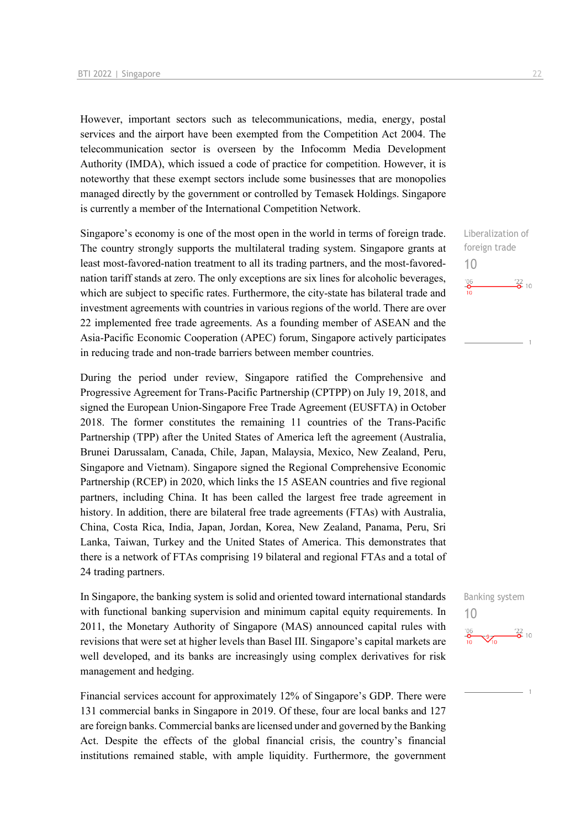However, important sectors such as telecommunications, media, energy, postal services and the airport have been exempted from the Competition Act 2004. The telecommunication sector is overseen by the Infocomm Media Development Authority (IMDA), which issued a code of practice for competition. However, it is noteworthy that these exempt sectors include some businesses that are monopolies managed directly by the government or controlled by Temasek Holdings. Singapore is currently a member of the International Competition Network.

Singapore's economy is one of the most open in the world in terms of foreign trade. The country strongly supports the multilateral trading system. Singapore grants at least most-favored-nation treatment to all its trading partners, and the most-favorednation tariff stands at zero. The only exceptions are six lines for alcoholic beverages, which are subject to specific rates. Furthermore, the city-state has bilateral trade and investment agreements with countries in various regions of the world. There are over 22 implemented free trade agreements. As a founding member of ASEAN and the Asia-Pacific Economic Cooperation (APEC) forum, Singapore actively participates in reducing trade and non-trade barriers between member countries.

During the period under review, Singapore ratified the Comprehensive and Progressive Agreement for Trans-Pacific Partnership (CPTPP) on July 19, 2018, and signed the European Union-Singapore Free Trade Agreement (EUSFTA) in October 2018. The former constitutes the remaining 11 countries of the Trans-Pacific Partnership (TPP) after the United States of America left the agreement (Australia, Brunei Darussalam, Canada, Chile, Japan, Malaysia, Mexico, New Zealand, Peru, Singapore and Vietnam). Singapore signed the Regional Comprehensive Economic Partnership (RCEP) in 2020, which links the 15 ASEAN countries and five regional partners, including China. It has been called the largest free trade agreement in history. In addition, there are bilateral free trade agreements (FTAs) with Australia, China, Costa Rica, India, Japan, Jordan, Korea, New Zealand, Panama, Peru, Sri Lanka, Taiwan, Turkey and the United States of America. This demonstrates that there is a network of FTAs comprising 19 bilateral and regional FTAs and a total of 24 trading partners.

In Singapore, the banking system is solid and oriented toward international standards with functional banking supervision and minimum capital equity requirements. In 2011, the Monetary Authority of Singapore (MAS) announced capital rules with revisions that were set at higher levels than Basel III. Singapore's capital markets are well developed, and its banks are increasingly using complex derivatives for risk management and hedging.

Financial services account for approximately 12% of Singapore's GDP. There were 131 commercial banks in Singapore in 2019. Of these, four are local banks and 127 are foreign banks. Commercial banks are licensed under and governed by the Banking Act. Despite the effects of the global financial crisis, the country's financial institutions remained stable, with ample liquidity. Furthermore, the government

Liberalization of foreign trade 10  $\frac{106}{10}$  $\frac{122}{2}$  10

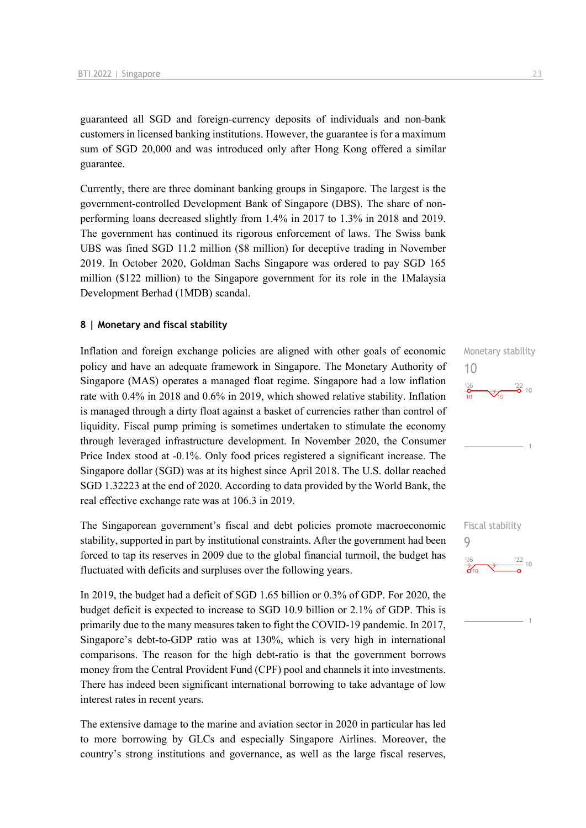guaranteed all SGD and foreign-currency deposits of individuals and non-bank customers in licensed banking institutions. However, the guarantee is for a maximum sum of SGD 20,000 and was introduced only after Hong Kong offered a similar guarantee.

Currently, there are three dominant banking groups in Singapore. The largest is the government-controlled Development Bank of Singapore (DBS). The share of nonperforming loans decreased slightly from 1.4% in 2017 to 1.3% in 2018 and 2019. The government has continued its rigorous enforcement of laws. The Swiss bank UBS was fined SGD 11.2 million (\$8 million) for deceptive trading in November 2019. In October 2020, Goldman Sachs Singapore was ordered to pay SGD 165 million (\$122 million) to the Singapore government for its role in the 1Malaysia Development Berhad (1MDB) scandal.

#### **8 | Monetary and fiscal stability**

Inflation and foreign exchange policies are aligned with other goals of economic policy and have an adequate framework in Singapore. The Monetary Authority of Singapore (MAS) operates a managed float regime. Singapore had a low inflation rate with 0.4% in 2018 and 0.6% in 2019, which showed relative stability. Inflation is managed through a dirty float against a basket of currencies rather than control of liquidity. Fiscal pump priming is sometimes undertaken to stimulate the economy through leveraged infrastructure development. In November 2020, the Consumer Price Index stood at -0.1%. Only food prices registered a significant increase. The Singapore dollar (SGD) was at its highest since April 2018. The U.S. dollar reached SGD 1.32223 at the end of 2020. According to data provided by the World Bank, the real effective exchange rate was at 106.3 in 2019.

The Singaporean government's fiscal and debt policies promote macroeconomic stability, supported in part by institutional constraints. After the government had been forced to tap its reserves in 2009 due to the global financial turmoil, the budget has fluctuated with deficits and surpluses over the following years.

In 2019, the budget had a deficit of SGD 1.65 billion or 0.3% of GDP. For 2020, the budget deficit is expected to increase to SGD 10.9 billion or 2.1% of GDP. This is primarily due to the many measures taken to fight the COVID-19 pandemic. In 2017, Singapore's debt-to-GDP ratio was at 130%, which is very high in international comparisons. The reason for the high debt-ratio is that the government borrows money from the Central Provident Fund (CPF) pool and channels it into investments. There has indeed been significant international borrowing to take advantage of low interest rates in recent years.

The extensive damage to the marine and aviation sector in 2020 in particular has led to more borrowing by GLCs and especially Singapore Airlines. Moreover, the country's strong institutions and governance, as well as the large fiscal reserves,

Monetary stability 10



Fiscal stability 9 $\frac{22}{10}$  10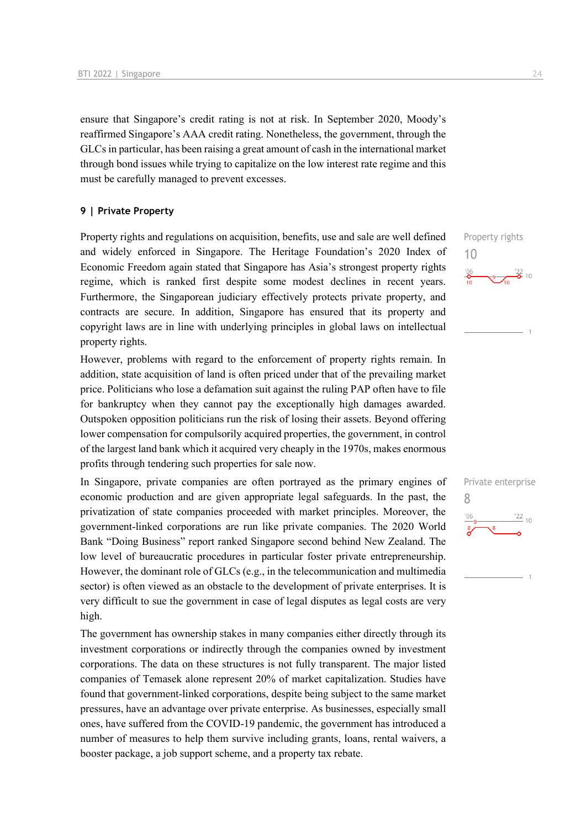ensure that Singapore's credit rating is not at risk. In September 2020, Moody's reaffirmed Singapore's AAA credit rating. Nonetheless, the government, through the GLCs in particular, has been raising a great amount of cash in the international market through bond issues while trying to capitalize on the low interest rate regime and this must be carefully managed to prevent excesses.

#### **9 | Private Property**

Property rights and regulations on acquisition, benefits, use and sale are well defined and widely enforced in Singapore. The Heritage Foundation's 2020 Index of Economic Freedom again stated that Singapore has Asia's strongest property rights regime, which is ranked first despite some modest declines in recent years. Furthermore, the Singaporean judiciary effectively protects private property, and contracts are secure. In addition, Singapore has ensured that its property and copyright laws are in line with underlying principles in global laws on intellectual property rights.

However, problems with regard to the enforcement of property rights remain. In addition, state acquisition of land is often priced under that of the prevailing market price. Politicians who lose a defamation suit against the ruling PAP often have to file for bankruptcy when they cannot pay the exceptionally high damages awarded. Outspoken opposition politicians run the risk of losing their assets. Beyond offering lower compensation for compulsorily acquired properties, the government, in control of the largest land bank which it acquired very cheaply in the 1970s, makes enormous profits through tendering such properties for sale now.

In Singapore, private companies are often portrayed as the primary engines of economic production and are given appropriate legal safeguards. In the past, the privatization of state companies proceeded with market principles. Moreover, the government-linked corporations are run like private companies. The 2020 World Bank "Doing Business" report ranked Singapore second behind New Zealand. The low level of bureaucratic procedures in particular foster private entrepreneurship. However, the dominant role of GLCs (e.g., in the telecommunication and multimedia sector) is often viewed as an obstacle to the development of private enterprises. It is very difficult to sue the government in case of legal disputes as legal costs are very high.

The government has ownership stakes in many companies either directly through its investment corporations or indirectly through the companies owned by investment corporations. The data on these structures is not fully transparent. The major listed companies of Temasek alone represent 20% of market capitalization. Studies have found that government-linked corporations, despite being subject to the same market pressures, have an advantage over private enterprise. As businesses, especially small ones, have suffered from the COVID-19 pandemic, the government has introduced a number of measures to help them survive including grants, loans, rental waivers, a booster package, a job support scheme, and a property tax rebate.



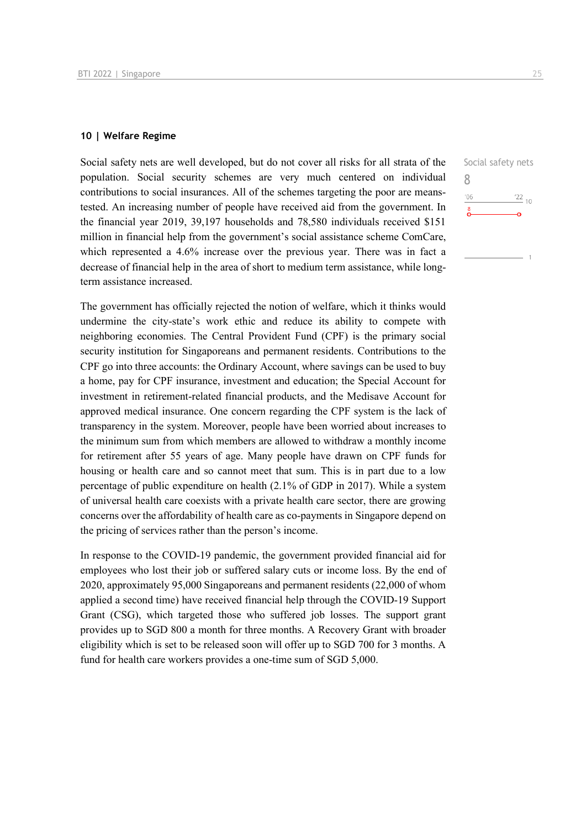#### **10 | Welfare Regime**

Social safety nets are well developed, but do not cover all risks for all strata of the population. Social security schemes are very much centered on individual contributions to social insurances. All of the schemes targeting the poor are meanstested. An increasing number of people have received aid from the government. In the financial year 2019, 39,197 households and 78,580 individuals received \$151 million in financial help from the government's social assistance scheme ComCare, which represented a 4.6% increase over the previous year. There was in fact a decrease of financial help in the area of short to medium term assistance, while longterm assistance increased.

The government has officially rejected the notion of welfare, which it thinks would undermine the city-state's work ethic and reduce its ability to compete with neighboring economies. The Central Provident Fund (CPF) is the primary social security institution for Singaporeans and permanent residents. Contributions to the CPF go into three accounts: the Ordinary Account, where savings can be used to buy a home, pay for CPF insurance, investment and education; the Special Account for investment in retirement-related financial products, and the Medisave Account for approved medical insurance. One concern regarding the CPF system is the lack of transparency in the system. Moreover, people have been worried about increases to the minimum sum from which members are allowed to withdraw a monthly income for retirement after 55 years of age. Many people have drawn on CPF funds for housing or health care and so cannot meet that sum. This is in part due to a low percentage of public expenditure on health (2.1% of GDP in 2017). While a system of universal health care coexists with a private health care sector, there are growing concerns over the affordability of health care as co-payments in Singapore depend on the pricing of services rather than the person's income.

In response to the COVID-19 pandemic, the government provided financial aid for employees who lost their job or suffered salary cuts or income loss. By the end of 2020, approximately 95,000 Singaporeans and permanent residents (22,000 of whom applied a second time) have received financial help through the COVID-19 Support Grant (CSG), which targeted those who suffered job losses. The support grant provides up to SGD 800 a month for three months. A Recovery Grant with broader eligibility which is set to be released soon will offer up to SGD 700 for 3 months. A fund for health care workers provides a one-time sum of SGD 5,000.

| Social safety nets |                 |
|--------------------|-----------------|
| Χ                  |                 |
| '06                | $\frac{22}{10}$ |
| 8                  |                 |
|                    |                 |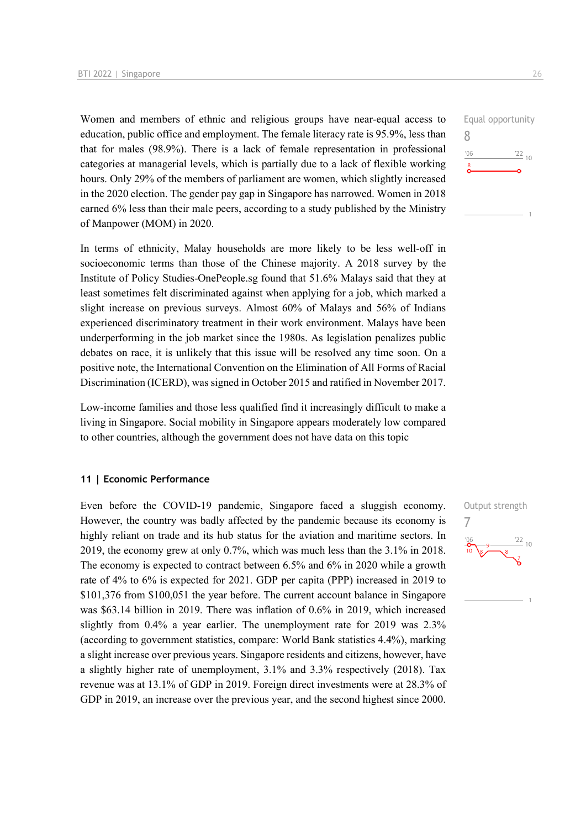Women and members of ethnic and religious groups have near-equal access to education, public office and employment. The female literacy rate is 95.9%, less than that for males (98.9%). There is a lack of female representation in professional categories at managerial levels, which is partially due to a lack of flexible working hours. Only 29% of the members of parliament are women, which slightly increased in the 2020 election. The gender pay gap in Singapore has narrowed. Women in 2018 earned 6% less than their male peers, according to a study published by the Ministry of Manpower (MOM) in 2020.

In terms of ethnicity, Malay households are more likely to be less well-off in socioeconomic terms than those of the Chinese majority. A 2018 survey by the Institute of Policy Studies-OnePeople.sg found that 51.6% Malays said that they at least sometimes felt discriminated against when applying for a job, which marked a slight increase on previous surveys. Almost 60% of Malays and 56% of Indians experienced discriminatory treatment in their work environment. Malays have been underperforming in the job market since the 1980s. As legislation penalizes public debates on race, it is unlikely that this issue will be resolved any time soon. On a positive note, the International Convention on the Elimination of All Forms of Racial Discrimination (ICERD), was signed in October 2015 and ratified in November 2017.

Low-income families and those less qualified find it increasingly difficult to make a living in Singapore. Social mobility in Singapore appears moderately low compared to other countries, although the government does not have data on this topic

#### **11 | Economic Performance**

Even before the COVID-19 pandemic, Singapore faced a sluggish economy. However, the country was badly affected by the pandemic because its economy is highly reliant on trade and its hub status for the aviation and maritime sectors. In 2019, the economy grew at only 0.7%, which was much less than the 3.1% in 2018. The economy is expected to contract between 6.5% and 6% in 2020 while a growth rate of 4% to 6% is expected for 2021. GDP per capita (PPP) increased in 2019 to \$101,376 from \$100,051 the year before. The current account balance in Singapore was \$63.14 billion in 2019. There was inflation of 0.6% in 2019, which increased slightly from 0.4% a year earlier. The unemployment rate for 2019 was 2.3% (according to government statistics, compare: World Bank statistics 4.4%), marking a slight increase over previous years. Singapore residents and citizens, however, have a slightly higher rate of unemployment, 3.1% and 3.3% respectively (2018). Tax revenue was at 13.1% of GDP in 2019. Foreign direct investments were at 28.3% of GDP in 2019, an increase over the previous year, and the second highest since 2000.



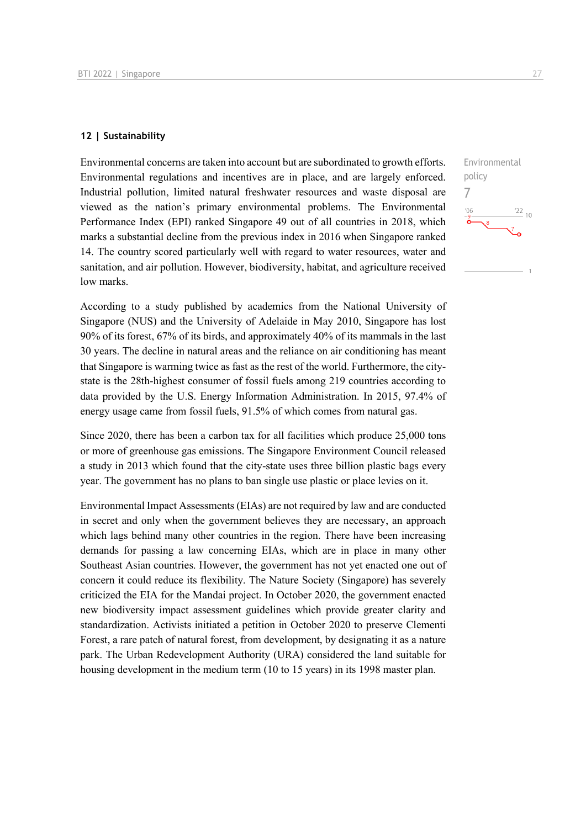#### **12 | Sustainability**

Environmental concerns are taken into account but are subordinated to growth efforts. Environmental regulations and incentives are in place, and are largely enforced. Industrial pollution, limited natural freshwater resources and waste disposal are viewed as the nation's primary environmental problems. The Environmental Performance Index (EPI) ranked Singapore 49 out of all countries in 2018, which marks a substantial decline from the previous index in 2016 when Singapore ranked 14. The country scored particularly well with regard to water resources, water and sanitation, and air pollution. However, biodiversity, habitat, and agriculture received low marks.

According to a study published by academics from the National University of Singapore (NUS) and the University of Adelaide in May 2010, Singapore has lost 90% of its forest, 67% of its birds, and approximately 40% of its mammals in the last 30 years. The decline in natural areas and the reliance on air conditioning has meant that Singapore is warming twice as fast as the rest of the world. Furthermore, the citystate is the 28th-highest consumer of fossil fuels among 219 countries according to data provided by the U.S. Energy Information Administration. In 2015, 97.4% of energy usage came from fossil fuels, 91.5% of which comes from natural gas.

Since 2020, there has been a carbon tax for all facilities which produce 25,000 tons or more of greenhouse gas emissions. The Singapore Environment Council released a study in 2013 which found that the city-state uses three billion plastic bags every year. The government has no plans to ban single use plastic or place levies on it.

Environmental Impact Assessments (EIAs) are not required by law and are conducted in secret and only when the government believes they are necessary, an approach which lags behind many other countries in the region. There have been increasing demands for passing a law concerning EIAs, which are in place in many other Southeast Asian countries. However, the government has not yet enacted one out of concern it could reduce its flexibility. The Nature Society (Singapore) has severely criticized the EIA for the Mandai project. In October 2020, the government enacted new biodiversity impact assessment guidelines which provide greater clarity and standardization. Activists initiated a petition in October 2020 to preserve Clementi Forest, a rare patch of natural forest, from development, by designating it as a nature park. The Urban Redevelopment Authority (URA) considered the land suitable for housing development in the medium term (10 to 15 years) in its 1998 master plan.

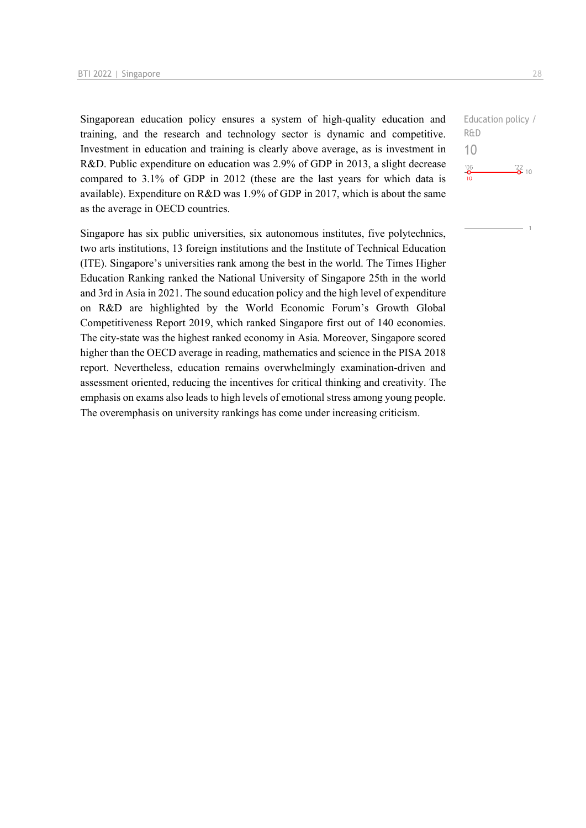Singaporean education policy ensures a system of high-quality education and training, and the research and technology sector is dynamic and competitive. Investment in education and training is clearly above average, as is investment in R&D. Public expenditure on education was 2.9% of GDP in 2013, a slight decrease compared to 3.1% of GDP in 2012 (these are the last years for which data is available). Expenditure on R&D was 1.9% of GDP in 2017, which is about the same as the average in OECD countries.

Singapore has six public universities, six autonomous institutes, five polytechnics, two arts institutions, 13 foreign institutions and the Institute of Technical Education (ITE). Singapore's universities rank among the best in the world. The Times Higher Education Ranking ranked the National University of Singapore 25th in the world and 3rd in Asia in 2021. The sound education policy and the high level of expenditure on R&D are highlighted by the World Economic Forum's Growth Global Competitiveness Report 2019, which ranked Singapore first out of 140 economies. The city-state was the highest ranked economy in Asia. Moreover, Singapore scored higher than the OECD average in reading, mathematics and science in the PISA 2018 report. Nevertheless, education remains overwhelmingly examination-driven and assessment oriented, reducing the incentives for critical thinking and creativity. The emphasis on exams also leads to high levels of emotional stress among young people. The overemphasis on university rankings has come under increasing criticism.

Education policy / R&D 10 $-0$ <br> $-0$ <br>10  $\frac{22}{2}$  10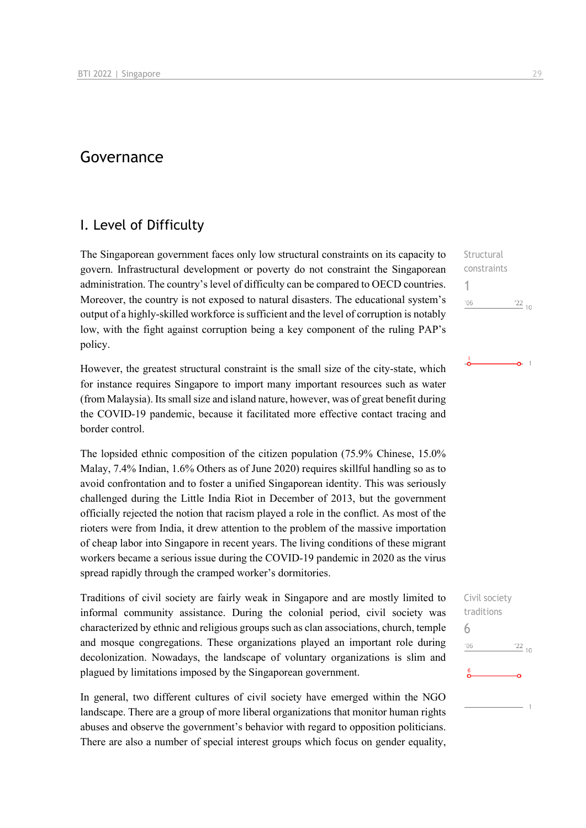# Governance

# I. Level of Difficulty

The Singaporean government faces only low structural constraints on its capacity to govern. Infrastructural development or poverty do not constraint the Singaporean administration. The country's level of difficulty can be compared to OECD countries. Moreover, the country is not exposed to natural disasters. The educational system's output of a highly-skilled workforce is sufficient and the level of corruption is notably low, with the fight against corruption being a key component of the ruling PAP's policy.

However, the greatest structural constraint is the small size of the city-state, which for instance requires Singapore to import many important resources such as water (from Malaysia). Its small size and island nature, however, was of great benefit during the COVID-19 pandemic, because it facilitated more effective contact tracing and border control.

The lopsided ethnic composition of the citizen population (75.9% Chinese, 15.0% Malay, 7.4% Indian, 1.6% Others as of June 2020) requires skillful handling so as to avoid confrontation and to foster a unified Singaporean identity. This was seriously challenged during the Little India Riot in December of 2013, but the government officially rejected the notion that racism played a role in the conflict. As most of the rioters were from India, it drew attention to the problem of the massive importation of cheap labor into Singapore in recent years. The living conditions of these migrant workers became a serious issue during the COVID-19 pandemic in 2020 as the virus spread rapidly through the cramped worker's dormitories.

Traditions of civil society are fairly weak in Singapore and are mostly limited to informal community assistance. During the colonial period, civil society was characterized by ethnic and religious groups such as clan associations, church, temple and mosque congregations. These organizations played an important role during decolonization. Nowadays, the landscape of voluntary organizations is slim and plagued by limitations imposed by the Singaporean government.

In general, two different cultures of civil society have emerged within the NGO landscape. There are a group of more liberal organizations that monitor human rights abuses and observe the government's behavior with regard to opposition politicians. There are also a number of special interest groups which focus on gender equality,

**Structural** constraints 1  $106$  $\frac{22}{10}$ 

 $\Omega$  1

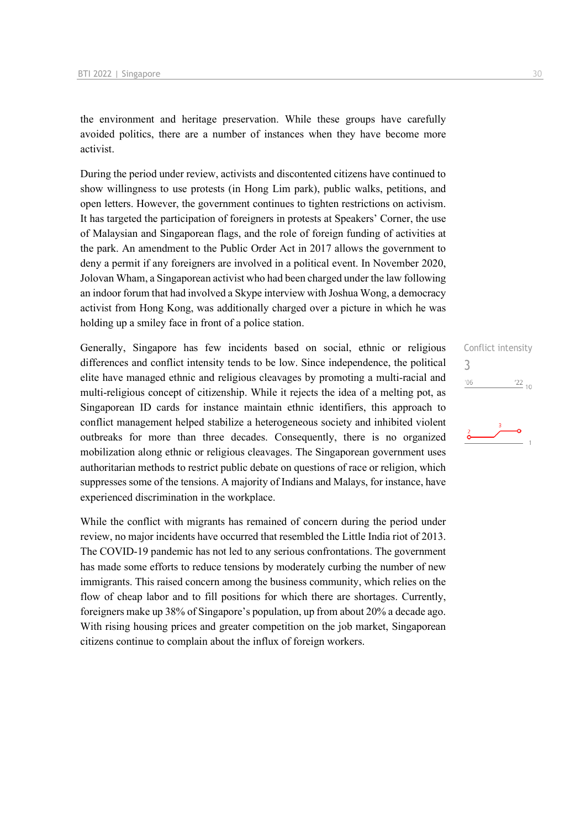the environment and heritage preservation. While these groups have carefully avoided politics, there are a number of instances when they have become more activist.

During the period under review, activists and discontented citizens have continued to show willingness to use protests (in Hong Lim park), public walks, petitions, and open letters. However, the government continues to tighten restrictions on activism. It has targeted the participation of foreigners in protests at Speakers' Corner, the use of Malaysian and Singaporean flags, and the role of foreign funding of activities at the park. An amendment to the Public Order Act in 2017 allows the government to deny a permit if any foreigners are involved in a political event. In November 2020, Jolovan Wham, a Singaporean activist who had been charged under the law following an indoor forum that had involved a Skype interview with Joshua Wong, a democracy activist from Hong Kong, was additionally charged over a picture in which he was holding up a smiley face in front of a police station.

Generally, Singapore has few incidents based on social, ethnic or religious differences and conflict intensity tends to be low. Since independence, the political elite have managed ethnic and religious cleavages by promoting a multi-racial and multi-religious concept of citizenship. While it rejects the idea of a melting pot, as Singaporean ID cards for instance maintain ethnic identifiers, this approach to conflict management helped stabilize a heterogeneous society and inhibited violent outbreaks for more than three decades. Consequently, there is no organized mobilization along ethnic or religious cleavages. The Singaporean government uses authoritarian methods to restrict public debate on questions of race or religion, which suppresses some of the tensions. A majority of Indians and Malays, for instance, have experienced discrimination in the workplace.

While the conflict with migrants has remained of concern during the period under review, no major incidents have occurred that resembled the Little India riot of 2013. The COVID-19 pandemic has not led to any serious confrontations. The government has made some efforts to reduce tensions by moderately curbing the number of new immigrants. This raised concern among the business community, which relies on the flow of cheap labor and to fill positions for which there are shortages. Currently, foreigners make up 38% of Singapore's population, up from about 20% a decade ago. With rising housing prices and greater competition on the job market, Singaporean citizens continue to complain about the influx of foreign workers.

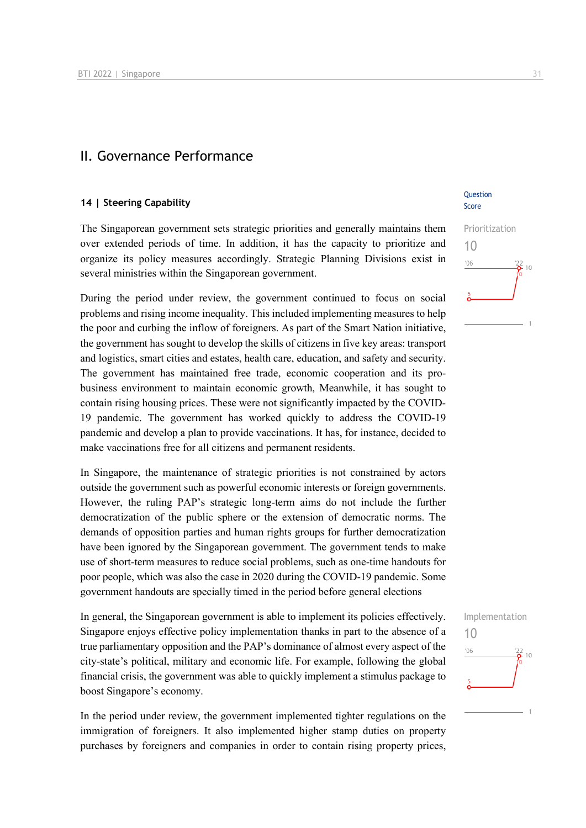### II. Governance Performance

#### **14 | Steering Capability**

The Singaporean government sets strategic priorities and generally maintains them over extended periods of time. In addition, it has the capacity to prioritize and organize its policy measures accordingly. Strategic Planning Divisions exist in several ministries within the Singaporean government.

During the period under review, the government continued to focus on social problems and rising income inequality. This included implementing measures to help the poor and curbing the inflow of foreigners. As part of the Smart Nation initiative, the government has sought to develop the skills of citizens in five key areas: transport and logistics, smart cities and estates, health care, education, and safety and security. The government has maintained free trade, economic cooperation and its probusiness environment to maintain economic growth, Meanwhile, it has sought to contain rising housing prices. These were not significantly impacted by the COVID-19 pandemic. The government has worked quickly to address the COVID-19 pandemic and develop a plan to provide vaccinations. It has, for instance, decided to make vaccinations free for all citizens and permanent residents.

In Singapore, the maintenance of strategic priorities is not constrained by actors outside the government such as powerful economic interests or foreign governments. However, the ruling PAP's strategic long-term aims do not include the further democratization of the public sphere or the extension of democratic norms. The demands of opposition parties and human rights groups for further democratization have been ignored by the Singaporean government. The government tends to make use of short-term measures to reduce social problems, such as one-time handouts for poor people, which was also the case in 2020 during the COVID-19 pandemic. Some government handouts are specially timed in the period before general elections

In general, the Singaporean government is able to implement its policies effectively. Singapore enjoys effective policy implementation thanks in part to the absence of a true parliamentary opposition and the PAP's dominance of almost every aspect of the city-state's political, military and economic life. For example, following the global financial crisis, the government was able to quickly implement a stimulus package to boost Singapore's economy.

In the period under review, the government implemented tighter regulations on the immigration of foreigners. It also implemented higher stamp duties on property purchases by foreigners and companies in order to contain rising property prices,

#### **Ouestion** Score



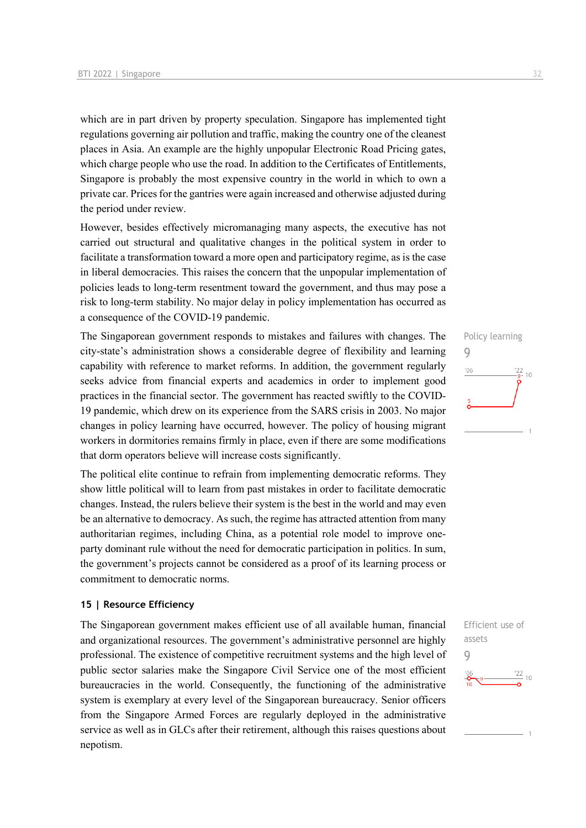which are in part driven by property speculation. Singapore has implemented tight regulations governing air pollution and traffic, making the country one of the cleanest places in Asia. An example are the highly unpopular Electronic Road Pricing gates, which charge people who use the road. In addition to the Certificates of Entitlements, Singapore is probably the most expensive country in the world in which to own a private car. Prices for the gantries were again increased and otherwise adjusted during the period under review.

However, besides effectively micromanaging many aspects, the executive has not carried out structural and qualitative changes in the political system in order to facilitate a transformation toward a more open and participatory regime, as is the case in liberal democracies. This raises the concern that the unpopular implementation of policies leads to long-term resentment toward the government, and thus may pose a risk to long-term stability. No major delay in policy implementation has occurred as a consequence of the COVID-19 pandemic.

The Singaporean government responds to mistakes and failures with changes. The city-state's administration shows a considerable degree of flexibility and learning capability with reference to market reforms. In addition, the government regularly seeks advice from financial experts and academics in order to implement good practices in the financial sector. The government has reacted swiftly to the COVID-19 pandemic, which drew on its experience from the SARS crisis in 2003. No major changes in policy learning have occurred, however. The policy of housing migrant workers in dormitories remains firmly in place, even if there are some modifications that dorm operators believe will increase costs significantly.

The political elite continue to refrain from implementing democratic reforms. They show little political will to learn from past mistakes in order to facilitate democratic changes. Instead, the rulers believe their system is the best in the world and may even be an alternative to democracy. As such, the regime has attracted attention from many authoritarian regimes, including China, as a potential role model to improve oneparty dominant rule without the need for democratic participation in politics. In sum, the government's projects cannot be considered as a proof of its learning process or commitment to democratic norms.

#### **15 | Resource Efficiency**

The Singaporean government makes efficient use of all available human, financial and organizational resources. The government's administrative personnel are highly professional. The existence of competitive recruitment systems and the high level of public sector salaries make the Singapore Civil Service one of the most efficient bureaucracies in the world. Consequently, the functioning of the administrative system is exemplary at every level of the Singaporean bureaucracy. Senior officers from the Singapore Armed Forces are regularly deployed in the administrative service as well as in GLCs after their retirement, although this raises questions about nepotism.

# Policy learning 9  $^{\prime}06$  $\frac{22}{9}$ - 10

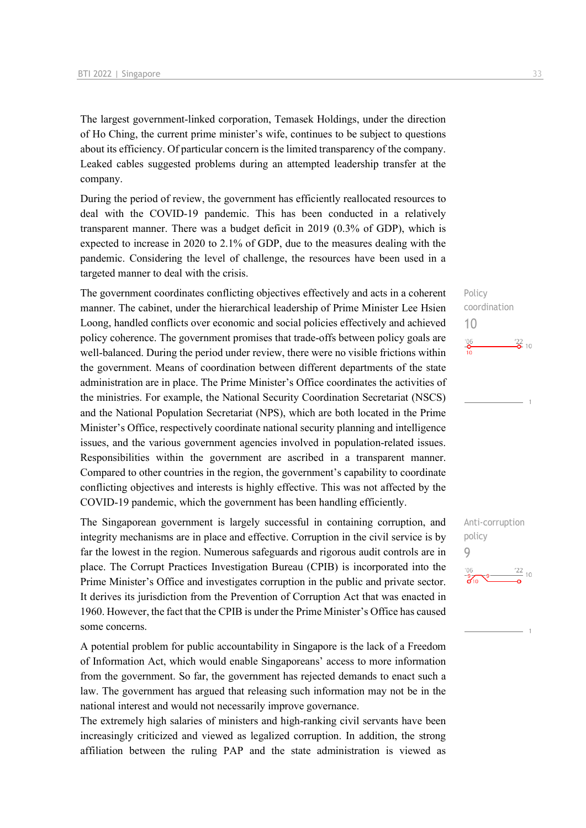The largest government-linked corporation, Temasek Holdings, under the direction of Ho Ching, the current prime minister's wife, continues to be subject to questions about its efficiency. Of particular concern is the limited transparency of the company. Leaked cables suggested problems during an attempted leadership transfer at the company.

During the period of review, the government has efficiently reallocated resources to deal with the COVID-19 pandemic. This has been conducted in a relatively transparent manner. There was a budget deficit in 2019 (0.3% of GDP), which is expected to increase in 2020 to 2.1% of GDP, due to the measures dealing with the pandemic. Considering the level of challenge, the resources have been used in a targeted manner to deal with the crisis.

The government coordinates conflicting objectives effectively and acts in a coherent manner. The cabinet, under the hierarchical leadership of Prime Minister Lee Hsien Loong, handled conflicts over economic and social policies effectively and achieved policy coherence. The government promises that trade-offs between policy goals are well-balanced. During the period under review, there were no visible frictions within the government. Means of coordination between different departments of the state administration are in place. The Prime Minister's Office coordinates the activities of the ministries. For example, the National Security Coordination Secretariat (NSCS) and the National Population Secretariat (NPS), which are both located in the Prime Minister's Office, respectively coordinate national security planning and intelligence issues, and the various government agencies involved in population-related issues. Responsibilities within the government are ascribed in a transparent manner. Compared to other countries in the region, the government's capability to coordinate conflicting objectives and interests is highly effective. This was not affected by the COVID-19 pandemic, which the government has been handling efficiently.

The Singaporean government is largely successful in containing corruption, and integrity mechanisms are in place and effective. Corruption in the civil service is by far the lowest in the region. Numerous safeguards and rigorous audit controls are in place. The Corrupt Practices Investigation Bureau (CPIB) is incorporated into the Prime Minister's Office and investigates corruption in the public and private sector. It derives its jurisdiction from the Prevention of Corruption Act that was enacted in 1960. However, the fact that the CPIB is under the Prime Minister's Office has caused some concerns.

A potential problem for public accountability in Singapore is the lack of a Freedom of Information Act, which would enable Singaporeans' access to more information from the government. So far, the government has rejected demands to enact such a law. The government has argued that releasing such information may not be in the national interest and would not necessarily improve governance.

The extremely high salaries of ministers and high-ranking civil servants have been increasingly criticized and viewed as legalized corruption. In addition, the strong affiliation between the ruling PAP and the state administration is viewed as



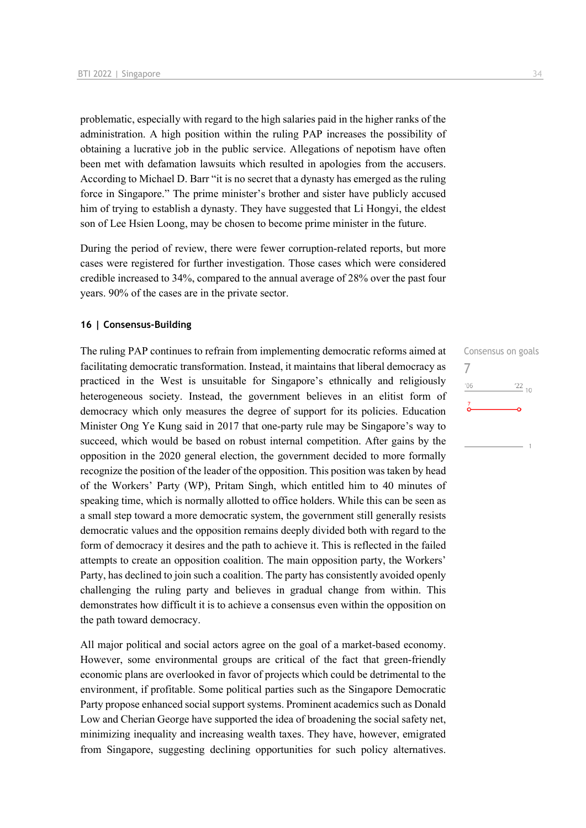problematic, especially with regard to the high salaries paid in the higher ranks of the administration. A high position within the ruling PAP increases the possibility of obtaining a lucrative job in the public service. Allegations of nepotism have often been met with defamation lawsuits which resulted in apologies from the accusers. According to Michael D. Barr "it is no secret that a dynasty has emerged as the ruling force in Singapore." The prime minister's brother and sister have publicly accused him of trying to establish a dynasty. They have suggested that Li Hongyi, the eldest son of Lee Hsien Loong, may be chosen to become prime minister in the future.

During the period of review, there were fewer corruption-related reports, but more cases were registered for further investigation. Those cases which were considered credible increased to 34%, compared to the annual average of 28% over the past four years. 90% of the cases are in the private sector.

#### **16 | Consensus-Building**

The ruling PAP continues to refrain from implementing democratic reforms aimed at facilitating democratic transformation. Instead, it maintains that liberal democracy as practiced in the West is unsuitable for Singapore's ethnically and religiously heterogeneous society. Instead, the government believes in an elitist form of democracy which only measures the degree of support for its policies. Education Minister Ong Ye Kung said in 2017 that one-party rule may be Singapore's way to succeed, which would be based on robust internal competition. After gains by the opposition in the 2020 general election, the government decided to more formally recognize the position of the leader of the opposition. This position was taken by head of the Workers' Party (WP), Pritam Singh, which entitled him to 40 minutes of speaking time, which is normally allotted to office holders. While this can be seen as a small step toward a more democratic system, the government still generally resists democratic values and the opposition remains deeply divided both with regard to the form of democracy it desires and the path to achieve it. This is reflected in the failed attempts to create an opposition coalition. The main opposition party, the Workers' Party, has declined to join such a coalition. The party has consistently avoided openly challenging the ruling party and believes in gradual change from within. This demonstrates how difficult it is to achieve a consensus even within the opposition on the path toward democracy.

All major political and social actors agree on the goal of a market-based economy. However, some environmental groups are critical of the fact that green-friendly economic plans are overlooked in favor of projects which could be detrimental to the environment, if profitable. Some political parties such as the Singapore Democratic Party propose enhanced social support systems. Prominent academics such as Donald Low and Cherian George have supported the idea of broadening the social safety net, minimizing inequality and increasing wealth taxes. They have, however, emigrated from Singapore, suggesting declining opportunities for such policy alternatives.

Consensus on goals 7 $-06$  $\frac{22}{10}$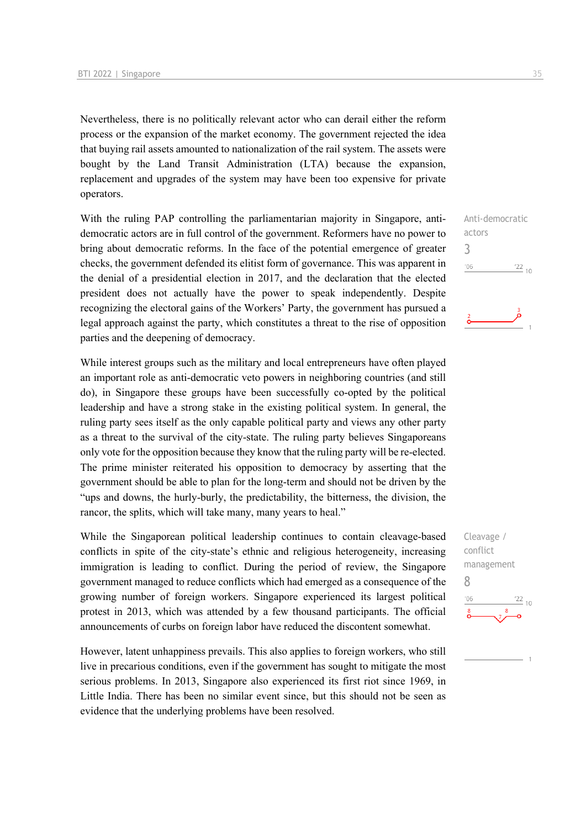Nevertheless, there is no politically relevant actor who can derail either the reform process or the expansion of the market economy. The government rejected the idea that buying rail assets amounted to nationalization of the rail system. The assets were bought by the Land Transit Administration (LTA) because the expansion, replacement and upgrades of the system may have been too expensive for private operators.

With the ruling PAP controlling the parliamentarian majority in Singapore, antidemocratic actors are in full control of the government. Reformers have no power to bring about democratic reforms. In the face of the potential emergence of greater checks, the government defended its elitist form of governance. This was apparent in the denial of a presidential election in 2017, and the declaration that the elected president does not actually have the power to speak independently. Despite recognizing the electoral gains of the Workers' Party, the government has pursued a legal approach against the party, which constitutes a threat to the rise of opposition parties and the deepening of democracy.

While interest groups such as the military and local entrepreneurs have often played an important role as anti-democratic veto powers in neighboring countries (and still do), in Singapore these groups have been successfully co-opted by the political leadership and have a strong stake in the existing political system. In general, the ruling party sees itself as the only capable political party and views any other party as a threat to the survival of the city-state. The ruling party believes Singaporeans only vote for the opposition because they know that the ruling party will be re-elected. The prime minister reiterated his opposition to democracy by asserting that the government should be able to plan for the long-term and should not be driven by the "ups and downs, the hurly-burly, the predictability, the bitterness, the division, the rancor, the splits, which will take many, many years to heal."

While the Singaporean political leadership continues to contain cleavage-based conflicts in spite of the city-state's ethnic and religious heterogeneity, increasing immigration is leading to conflict. During the period of review, the Singapore government managed to reduce conflicts which had emerged as a consequence of the growing number of foreign workers. Singapore experienced its largest political protest in 2013, which was attended by a few thousand participants. The official announcements of curbs on foreign labor have reduced the discontent somewhat.

However, latent unhappiness prevails. This also applies to foreign workers, who still live in precarious conditions, even if the government has sought to mitigate the most serious problems. In 2013, Singapore also experienced its first riot since 1969, in Little India. There has been no similar event since, but this should not be seen as evidence that the underlying problems have been resolved.



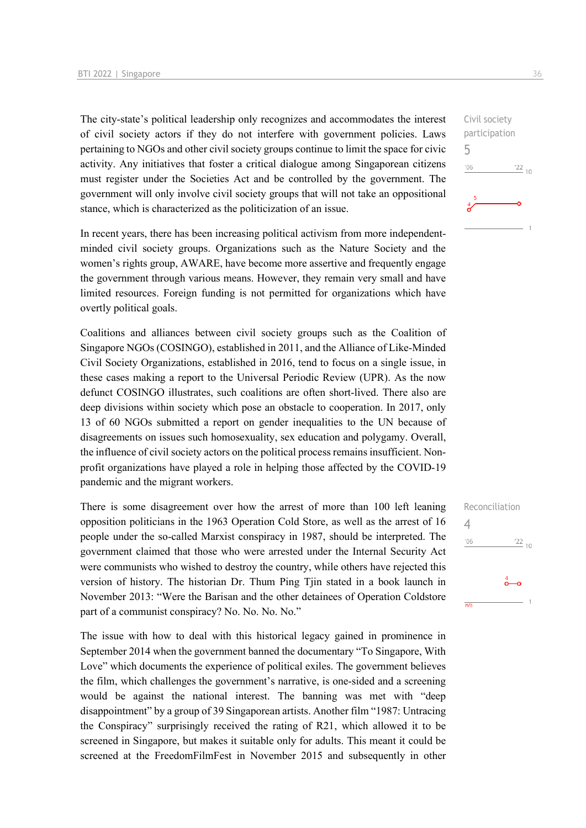The city-state's political leadership only recognizes and accommodates the interest of civil society actors if they do not interfere with government policies. Laws pertaining to NGOs and other civil society groups continue to limit the space for civic activity. Any initiatives that foster a critical dialogue among Singaporean citizens must register under the Societies Act and be controlled by the government. The government will only involve civil society groups that will not take an oppositional stance, which is characterized as the politicization of an issue.

In recent years, there has been increasing political activism from more independentminded civil society groups. Organizations such as the Nature Society and the women's rights group, AWARE, have become more assertive and frequently engage the government through various means. However, they remain very small and have limited resources. Foreign funding is not permitted for organizations which have overtly political goals.

Coalitions and alliances between civil society groups such as the Coalition of Singapore NGOs (COSINGO), established in 2011, and the Alliance of Like-Minded Civil Society Organizations, established in 2016, tend to focus on a single issue, in these cases making a report to the Universal Periodic Review (UPR). As the now defunct COSINGO illustrates, such coalitions are often short-lived. There also are deep divisions within society which pose an obstacle to cooperation. In 2017, only 13 of 60 NGOs submitted a report on gender inequalities to the UN because of disagreements on issues such homosexuality, sex education and polygamy. Overall, the influence of civil society actors on the political process remains insufficient. Nonprofit organizations have played a role in helping those affected by the COVID-19 pandemic and the migrant workers.

There is some disagreement over how the arrest of more than 100 left leaning opposition politicians in the 1963 Operation Cold Store, as well as the arrest of 16 people under the so-called Marxist conspiracy in 1987, should be interpreted. The government claimed that those who were arrested under the Internal Security Act were communists who wished to destroy the country, while others have rejected this version of history. The historian Dr. Thum Ping Tjin stated in a book launch in November 2013: "Were the Barisan and the other detainees of Operation Coldstore part of a communist conspiracy? No. No. No. No."

The issue with how to deal with this historical legacy gained in prominence in September 2014 when the government banned the documentary "To Singapore, With Love" which documents the experience of political exiles. The government believes the film, which challenges the government's narrative, is one-sided and a screening would be against the national interest. The banning was met with "deep disappointment" by a group of 39 Singaporean artists. Another film "1987: Untracing the Conspiracy" surprisingly received the rating of R21, which allowed it to be screened in Singapore, but makes it suitable only for adults. This meant it could be screened at the FreedomFilmFest in November 2015 and subsequently in other

Civil society participation 5  $-06$  $\frac{22}{10}$ 

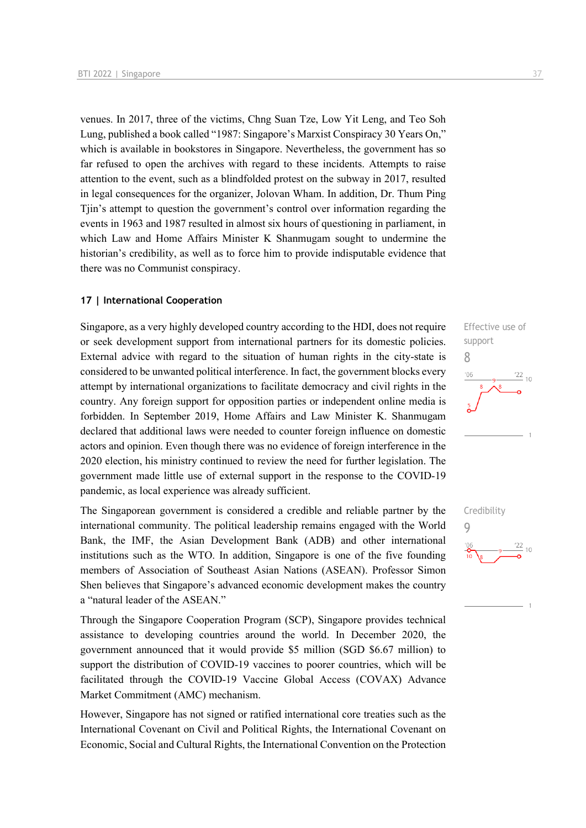venues. In 2017, three of the victims, Chng Suan Tze, Low Yit Leng, and Teo Soh Lung, published a book called "1987: Singapore's Marxist Conspiracy 30 Years On," which is available in bookstores in Singapore. Nevertheless, the government has so far refused to open the archives with regard to these incidents. Attempts to raise attention to the event, such as a blindfolded protest on the subway in 2017, resulted in legal consequences for the organizer, Jolovan Wham. In addition, Dr. Thum Ping Tjin's attempt to question the government's control over information regarding the events in 1963 and 1987 resulted in almost six hours of questioning in parliament, in which Law and Home Affairs Minister K Shanmugam sought to undermine the historian's credibility, as well as to force him to provide indisputable evidence that there was no Communist conspiracy.

#### **17 | International Cooperation**

Singapore, as a very highly developed country according to the HDI, does not require or seek development support from international partners for its domestic policies. External advice with regard to the situation of human rights in the city-state is considered to be unwanted political interference. In fact, the government blocks every attempt by international organizations to facilitate democracy and civil rights in the country. Any foreign support for opposition parties or independent online media is forbidden. In September 2019, Home Affairs and Law Minister K. Shanmugam declared that additional laws were needed to counter foreign influence on domestic actors and opinion. Even though there was no evidence of foreign interference in the 2020 election, his ministry continued to review the need for further legislation. The government made little use of external support in the response to the COVID-19 pandemic, as local experience was already sufficient.

The Singaporean government is considered a credible and reliable partner by the international community. The political leadership remains engaged with the World Bank, the IMF, the Asian Development Bank (ADB) and other international institutions such as the WTO. In addition, Singapore is one of the five founding members of Association of Southeast Asian Nations (ASEAN). Professor Simon Shen believes that Singapore's advanced economic development makes the country a "natural leader of the ASEAN."

Through the Singapore Cooperation Program (SCP), Singapore provides technical assistance to developing countries around the world. In December 2020, the government announced that it would provide \$5 million (SGD \$6.67 million) to support the distribution of COVID-19 vaccines to poorer countries, which will be facilitated through the COVID-19 Vaccine Global Access (COVAX) Advance Market Commitment (AMC) mechanism.

However, Singapore has not signed or ratified international core treaties such as the International Covenant on Civil and Political Rights, the International Covenant on Economic, Social and Cultural Rights, the International Convention on the Protection



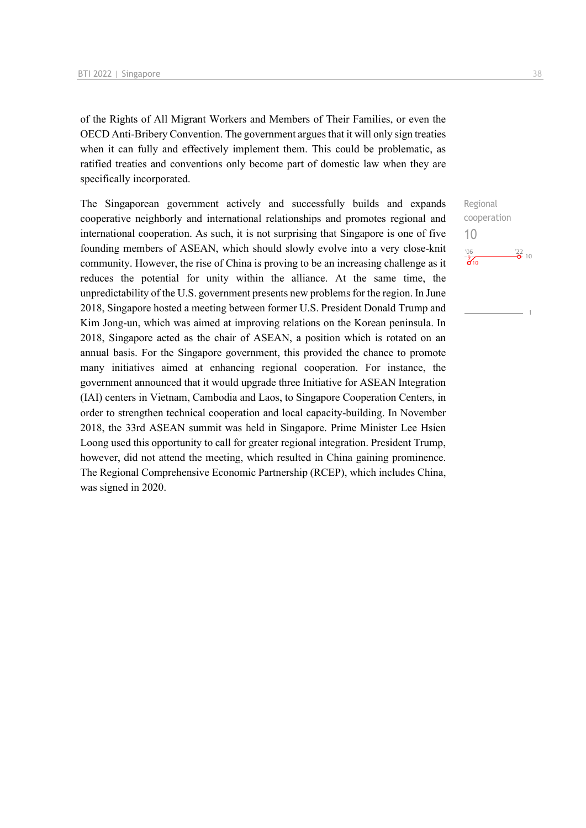of the Rights of All Migrant Workers and Members of Their Families, or even the OECD Anti-Bribery Convention. The government argues that it will only sign treaties when it can fully and effectively implement them. This could be problematic, as ratified treaties and conventions only become part of domestic law when they are specifically incorporated.

The Singaporean government actively and successfully builds and expands cooperative neighborly and international relationships and promotes regional and international cooperation. As such, it is not surprising that Singapore is one of five founding members of ASEAN, which should slowly evolve into a very close-knit community. However, the rise of China is proving to be an increasing challenge as it reduces the potential for unity within the alliance. At the same time, the unpredictability of the U.S. government presents new problems for the region. In June 2018, Singapore hosted a meeting between former U.S. President Donald Trump and Kim Jong-un, which was aimed at improving relations on the Korean peninsula. In 2018, Singapore acted as the chair of ASEAN, a position which is rotated on an annual basis. For the Singapore government, this provided the chance to promote many initiatives aimed at enhancing regional cooperation. For instance, the government announced that it would upgrade three Initiative for ASEAN Integration (IAI) centers in Vietnam, Cambodia and Laos, to Singapore Cooperation Centers, in order to strengthen technical cooperation and local capacity-building. In November 2018, the 33rd ASEAN summit was held in Singapore. Prime Minister Lee Hsien Loong used this opportunity to call for greater regional integration. President Trump, however, did not attend the meeting, which resulted in China gaining prominence. The Regional Comprehensive Economic Partnership (RCEP), which includes China, was signed in 2020.

Regional cooperation 10 $^{\prime}06$  $\frac{22}{2}$  10  $\frac{9}{60}$